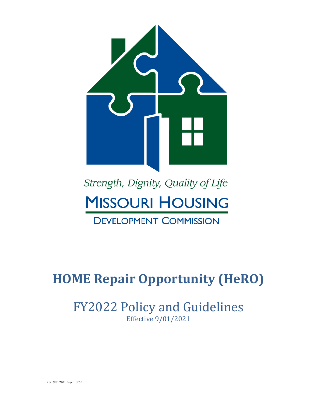

# Strength, Dignity, Quality of Life **MISSOURI HOUSING**

## **DEVELOPMENT COMMISSION**

# **HOME Repair Opportunity (HeRO)**

## FY2022 Policy and Guidelines Effective 9/01/2021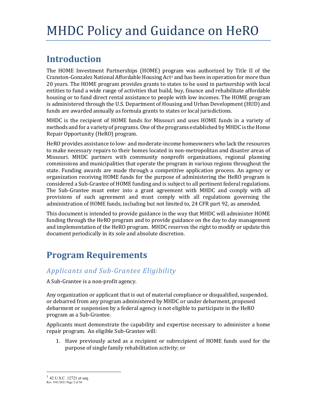## **Introduction**

The HOME Investment Partnerships (HOME) program was authorized by Title II of the Cranston-Gonzalez National Affordable Housing Act<sup>1</sup> and has been in operation for more than 20 years. The HOME program provides grants to states to be used in partnership with local entities to fund a wide range of activities that build, buy, finance and rehabilitate affordable housing or to fund direct rental assistance to people with low incomes. The HOME program is administered through the U.S. Department of Housing and Urban Development (HUD) and funds are awarded annually as formula grants to states or local jurisdictions.

MHDC is the recipient of HOME funds for Missouri and uses HOME funds in a variety of methods and for a variety of programs. One of the programs established by MHDC is the Home Repair Opportunity (HeRO) program.

HeRO provides assistance to low- and moderate-income homeowners who lack the resources to make necessary repairs to their homes located in non-metropolitan and disaster areas of Missouri. MHDC partners with community nonprofit organizations, regional planning commissions and municipalities that operate the program in various regions throughout the state. Funding awards are made through a competitive application process. An agency or organization receiving HOME funds for the purpose of administering the HeRO program is considered a Sub-Grantee of HOME funding and is subject to all pertinent federal regulations. The Sub-Grantee must enter into a grant agreement with MHDC and comply with all provisions of such agreement and must comply with all regulations governing the administration of HOME funds, including but not limited to, 24 CFR part 92, as amended.

This document is intended to provide guidance in the way that MHDC will administer HOME funding through the HeRO program and to provide guidance on the day to day management and implementation of the HeRO program. MHDC reserves the right to modify or update this document periodically in its sole and absolute discretion.

## **Program Requirements**

## *Applicants and Sub-Grantee Eligibility*

A Sub-Grantee is a non-profit agency.

Any organization or applicant that is out of material compliance or disqualified, suspended, or debarred from any program administered by MHDC or under debarment, proposed debarment or suspension by a federal agency is not eligible to participate in the HeRO program as a Sub-Grantee.

Applicants must demonstrate the capability and expertise necessary to administer a home repair program. An eligible Sub-Grantee will:

1. Have previously acted as a recipient or subrecipient of HOME funds used for the purpose of single family rehabilitation activity; or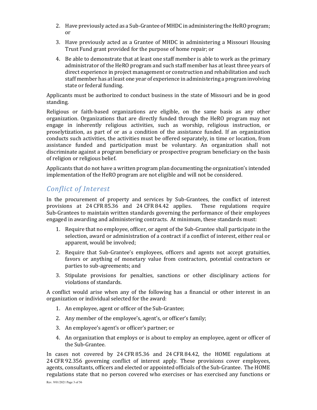- 2. Have previously acted as a Sub-Grantee of MHDC in administering the HeRO program; or
- 3. Have previously acted as a Grantee of MHDC in administering a Missouri Housing Trust Fund grant provided for the purpose of home repair; or
- 4. Be able to demonstrate that at least one staff member is able to work as the primary administrator of the HeRO program and such staff member has at least three years of direct experience in project management or construction and rehabilitation and such staff member has at least one year of experience in administering a program involving state or federal funding.

Applicants must be authorized to conduct business in the state of Missouri and be in good standing.

Religious or faith-based organizations are eligible, on the same basis as any other organization. Organizations that are directly funded through the HeRO program may not engage in inherently religious activities, such as worship, religious instruction, or proselytization, as part of or as a condition of the assistance funded. If an organization conducts such activities, the activities must be offered separately, in time or location, from assistance funded and participation must be voluntary. An organization shall not discriminate against a program beneficiary or prospective program beneficiary on the basis of religion or religious belief.

Applicants that do not have a written program plan documenting the organization's intended implementation of the HeRO program are not eligible and will not be considered.

## *Conflict of Interest*

In the procurement of property and services by Sub-Grantees, the conflict of interest provisions at 24 CFR 85.36 and 24 CFR 84.42 applies. These regulations require Sub-Grantees to maintain written standards governing the performance of their employees engaged in awarding and administering contracts. At minimum, these standards must:

- 1. Require that no employee, officer, or agent of the Sub-Grantee shall participate in the selection, award or administration of a contract if a conflict of interest, either real or apparent, would be involved;
- 2. Require that Sub-Grantee's employees, officers and agents not accept gratuities, favors or anything of monetary value from contractors, potential contractors or parties to sub-agreements; and
- 3. Stipulate provisions for penalties, sanctions or other disciplinary actions for violations of standards.

A conflict would arise when any of the following has a financial or other interest in an organization or individual selected for the award:

- 1. An employee, agent or officer of the Sub-Grantee;
- 2. Any member of the employee's, agent's, or officer's family;
- 3. An employee's agent's or officer's partner; or
- 4. An organization that employs or is about to employ an employee, agent or officer of the Sub-Grantee.

In cases not covered by 24 CFR 85.36 and 24 CFR 84.42, the HOME regulations at 24 CFR 92.356 governing conflict of interest apply. These provisions cover employees, agents, consultants, officers and elected or appointed officials of the Sub-Grantee. The HOME regulations state that no person covered who exercises or has exercised any functions or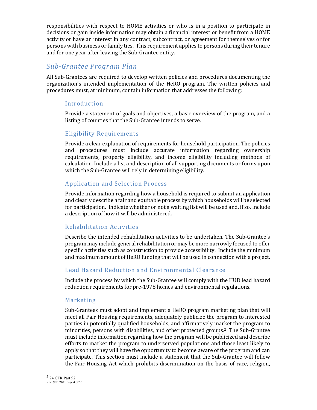responsibilities with respect to HOME activities or who is in a position to participate in decisions or gain inside information may obtain a financial interest or benefit from a HOME activity or have an interest in any contract, subcontract, or agreement for themselves or for persons with business or family ties. This requirement applies to persons during their tenure and for one year after leaving the Sub-Grantee entity.

## *Sub-Grantee Program Plan*

All Sub-Grantees are required to develop written policies and procedures documenting the organization's intended implementation of the HeRO program. The written policies and procedures must, at minimum, contain information that addresses the following:

## Introduction

Provide a statement of goals and objectives, a basic overview of the program, and a listing of counties that the Sub-Grantee intends to serve.

## Eligibility Requirements

Provide a clear explanation of requirements for household participation. The policies and procedures must include accurate information regarding ownership requirements, property eligibility, and income eligibility including methods of calculation. Include a list and description of all supporting documents or forms upon which the Sub-Grantee will rely in determining eligibility.

## Application and Selection Process

Provide information regarding how a household is required to submit an application and clearly describe a fair and equitable process by which households will be selected for participation. Indicate whether or not a waiting list will be used and, if so, include a description of how it will be administered.

## Rehabilitation Activities

Describe the intended rehabilitation activities to be undertaken. The Sub-Grantee's program may include general rehabilitation or may be more narrowly focused to offer specific activities such as construction to provide accessibility. Include the minimum and maximum amount of HeRO funding that will be used in connection with a project.

## Lead Hazard Reduction and Environmental Clearance

Include the process by which the Sub-Grantee will comply with the HUD lead hazard reduction requirements for pre-1978 homes and environmental regulations.

## Marketing

Sub-Grantees must adopt and implement a HeRO program marketing plan that will meet all Fair Housing requirements, adequately publicize the program to interested parties in potentially qualified households, and affirmatively market the program to minorities, persons with disabilities, and other protected groups.2 The Sub-Grantee must include information regarding how the program will be publicized and describe efforts to market the program to underserved populations and those least likely to apply so that they will have the opportunity to become aware of the program and can participate. This section must include a statement that the Sub-Grantee will follow the Fair Housing Act which prohibits discrimination on the basis of race, religion,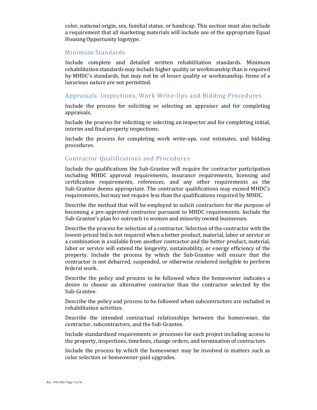color, national origin, sex, familial status, or handicap. This section must also include a requirement that all marketing materials will include use of the appropriate Equal Housing Opportunity logotype.

#### Minimum Standards

Include complete and detailed written rehabilitation standards. Minimum rehabilitation standards may include higher quality or workmanship than is required by MHDC's standards, but may not be of lesser quality or workmanship. Items of a luxurious nature are not permitted.

#### Appraisals, Inspections, Work Write-Ups and Bidding Procedures

Include the process for soliciting or selecting an appraiser and for completing appraisals.

Include the process for soliciting or selecting an inspector and for completing initial, interim and final property inspections.

Include the process for completing work write-ups, cost estimates, and bidding procedures.

#### Contractor Qualifications and Procedures

Include the qualifications the Sub-Grantee will require for contractor participation including MHDC approval requirements, insurance requirements, licensing and certification requirements, references, and any other requirements as the Sub-Grantee deems appropriate. The contractor qualifications may exceed MHDC's requirements, but may not require less than the qualifications required by MHDC.

Describe the method that will be employed to solicit contractors for the purpose of becoming a pre-approved contractor pursuant to MHDC requirements. Include the Sub-Grantee's plan for outreach to women and minority owned businesses.

Describe the process for selection of a contractor. Selection of the contractor with the lowest-priced bid is not required when a better product, material, labor or service or a combination is available from another contractor and the better product, material, labor or service will extend the longevity, sustainability, or energy efficiency of the property. Include the process by which the Sub-Grantee will ensure that the contractor is not debarred, suspended, or otherwise rendered ineligible to perform federal work.

Describe the policy and process to be followed when the homeowner indicates a desire to choose an alternative contractor than the contractor selected by the Sub-Grantee.

Describe the policy and process to be followed when subcontractors are included in rehabilitation activities.

Describe the intended contractual relationships between the homeowner, the contractor, subcontractors, and the Sub-Grantee.

Include standardized requirements or processes for each project including access to the property, inspections, timelines, change orders, and termination of contractors.

Include the process by which the homeowner may be involved in matters such as color selection or homeowner-paid upgrades.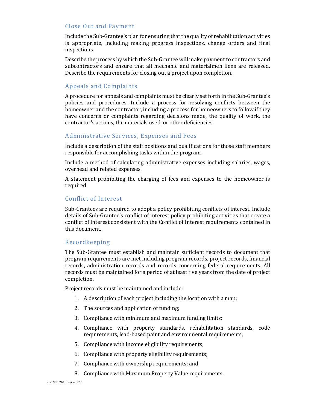#### Close Out and Payment

Include the Sub-Grantee's plan for ensuring that the quality of rehabilitation activities is appropriate, including making progress inspections, change orders and final inspections.

Describe the process by which the Sub-Grantee will make payment to contractors and subcontractors and ensure that all mechanic and materialmen liens are released. Describe the requirements for closing out a project upon completion.

#### Appeals and Complaints

A procedure for appeals and complaints must be clearly set forth in the Sub-Grantee's policies and procedures. Include a process for resolving conflicts between the homeowner and the contractor, including a process for homeowners to follow if they have concerns or complaints regarding decisions made, the quality of work, the contractor's actions, the materials used, or other deficiencies.

#### Administrative Services, Expenses and Fees

Include a description of the staff positions and qualifications for those staff members responsible for accomplishing tasks within the program.

Include a method of calculating administrative expenses including salaries, wages, overhead and related expenses.

A statement prohibiting the charging of fees and expenses to the homeowner is required.

#### Conflict of Interest

Sub-Grantees are required to adopt a policy prohibiting conflicts of interest. Include details of Sub-Grantee's conflict of interest policy prohibiting activities that create a conflict of interest consistent with the Conflict of Interest requirements contained in this document.

#### Recordkeeping

The Sub-Grantee must establish and maintain sufficient records to document that program requirements are met including program records, project records, financial records, administration records and records concerning federal requirements. All records must be maintained for a period of at least five years from the date of project completion.

Project records must be maintained and include:

- 1. A description of each project including the location with a map;
- 2. The sources and application of funding;
- 3. Compliance with minimum and maximum funding limits;
- 4. Compliance with property standards, rehabilitation standards, code requirements, lead-based paint and environmental requirements;
- 5. Compliance with income eligibility requirements;
- 6. Compliance with property eligibility requirements;
- 7. Compliance with ownership requirements; and
- 8. Compliance with Maximum Property Value requirements.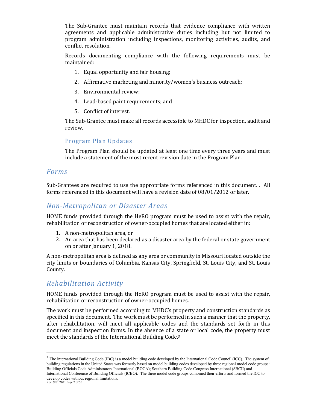The Sub-Grantee must maintain records that evidence compliance with written agreements and applicable administrative duties including but not limited to program administration including inspections, monitoring activities, audits, and conflict resolution.

Records documenting compliance with the following requirements must be maintained:

- 1. Equal opportunity and fair housing;
- 2. Affirmative marketing and minority/women's business outreach;
- 3. Environmental review;
- 4. Lead-based paint requirements; and
- 5. Conflict of interest.

The Sub-Grantee must make all records accessible to MHDC for inspection, audit and review.

#### Program Plan Updates

The Program Plan should be updated at least one time every three years and must include a statement of the most recent revision date in the Program Plan.

## *Forms*

Sub-Grantees are required to use the appropriate forms referenced in this document. . All forms referenced in this document will have a revision date of 08/01/2012 or later.

## *Non-Metropolitan or Disaster Areas*

HOME funds provided through the HeRO program must be used to assist with the repair, rehabilitation or reconstruction of owner-occupied homes that are located either in:

- 1. A non-metropolitan area, or
- 2. An area that has been declared as a disaster area by the federal or state government on or after January 1, 2018.

A non-metropolitan area is defined as any area or community in Missouri located outside the city limits or boundaries of Columbia, Kansas City, Springfield, St. Louis City, and St. Louis County.

## *Rehabilitation Activity*

HOME funds provided through the HeRO program must be used to assist with the repair, rehabilitation or reconstruction of owner-occupied homes.

The work must be performed according to MHDC's property and construction standards as specified in this document. The work must be performed in such a manner that the property, after rehabilitation, will meet all applicable codes and the standards set forth in this document and inspection forms. In the absence of a state or local code, the property must meet the standards of the International Building Code. 3

Rev. 9/01/2021 Page 7 of 56 <sup>3</sup> The International Building Code (IBC) is a model building code developed by the International Code Council (ICC). The system of building regulations in the United States was formerly based on model building codes developed by three regional model code groups: Building Officials Code Administrators International (BOCA); Southern Building Code Congress International (SBCII) and International Conference of Building Officials (ICBO). The three model code groups combined their efforts and formed the ICC to develop codes without regional limitations.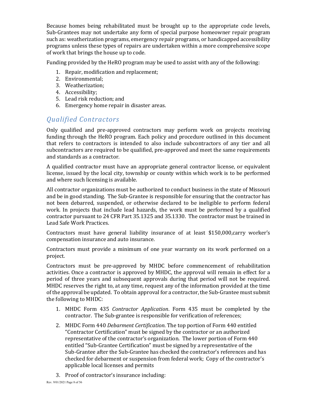Because homes being rehabilitated must be brought up to the appropriate code levels, Sub-Grantees may not undertake any form of special purpose homeowner repair program such as: weatherization programs, emergency repair programs, or handicapped accessibility programs unless these types of repairs are undertaken within a more comprehensive scope of work that brings the house up to code.

Funding provided by the HeRO program may be used to assist with any of the following:

- 1. Repair, modification and replacement;
- 2. Environmental;
- 3. Weatherization;
- 4. Accessibility;
- 5. Lead risk reduction; and
- 6. Emergency home repair in disaster areas.

## *Qualified Contractors*

Only qualified and pre-approved contractors may perform work on projects receiving funding through the HeRO program. Each policy and procedure outlined in this document that refers to contractors is intended to also include subcontractors of any tier and all subcontractors are required to be qualified, pre-approved and meet the same requirements and standards as a contractor.

A qualified contractor must have an appropriate general contractor license, or equivalent license, issued by the local city, township or county within which work is to be performed and where such licensing is available.

All contractor organizations must be authorized to conduct business in the state of Missouri and be in good standing. The Sub-Grantee is responsible for ensuring that the contractor has not been debarred, suspended, or otherwise declared to be ineligible to perform federal work. In projects that include lead hazards, the work must be performed by a qualified contractor pursuant to 24 CFR Part 35.1325 and 35.1330. The contractor must be trained in Lead Safe Work Practices.

Contractors must have general liability insurance of at least \$150,000,carry worker's compensation insurance and auto insurance.

Contractors must provide a minimum of one year warranty on its work performed on a project.

Contractors must be pre-approved by MHDC before commencement of rehabilitation activities. Once a contractor is approved by MHDC, the approval will remain in effect for a period of three years and subsequent approvals during that period will not be required. MHDC reserves the right to, at any time, request any of the information provided at the time of the approval be updated. To obtain approval for a contractor, the Sub-Grantee must submit the following to MHDC:

- 1. MHDC Form 435 *Contractor Application*. Form 435 must be completed by the contractor. The Sub-grantee is responsible for verification of references;
- 2. MHDC Form 440 *Debarment Certification*. The top portion of Form 440 entitled "Contractor Certification" must be signed by the contractor or an authorized representative of the contractor's organization. The lower portion of Form 440 entitled "Sub-Grantee Certification" must be signed by a representative of the Sub-Grantee after the Sub-Grantee has checked the contractor's references and has checked for debarment or suspension from federal work; Copy of the contractor's applicable local licenses and permits
- 3. Proof of contractor's insurance including: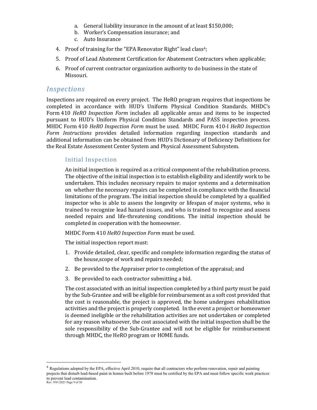- a. General liability insurance in the amount of at least \$150,000;
- b. Worker's Compensation insurance; and
- c. Auto Insurance
- 4. Proof of training for the "EPA Renovator Right" lead class<sup>4</sup>;
- 5. Proof of Lead Abatement Certification for Abatement Contractors when applicable;
- 6. Proof of current contractor organization authority to do business in the state of Missouri.

## *Inspections*

Inspections are required on every project. The HeRO program requires that inspections be completed in accordance with HUD's Uniform Physical Condition Standards. MHDC's Form 410 *HeRO Inspection Form* includes all applicable areas and items to be inspected pursuant to HUD's Uniform Physical Condition Standards and PASS inspection process. MHDC Form 410 *HeRO Inspection Form* must be used. MHDC Form 410-I *HeRO Inspection Form Instructions* provides detailed information regarding inspection standards and additional information can be obtained from HUD's Dictionary of Deficiency Definitions for the Real Estate Assessment Center System and Physical Assessment Subsystem.

#### Initial Inspection

An initial inspection is required as a critical component of the rehabilitation process. The objective of the initial inspection is to establish eligibility and identify work to be undertaken. This includes necessary repairs to major systems and a determination on whether the necessary repairs can be completed in compliance with the financial limitations of the program. The initial inspection should be completed by a qualified inspector who is able to assess the longevity or lifespan of major systems, who is trained to recognize lead hazard issues, and who is trained to recognize and assess needed repairs and life-threatening conditions. The initial inspection should be completed in cooperation with the homeowner.

MHDC Form 410 *HeRO Inspection Form* must be used.

The initial inspection report must:

- 1. Provide detailed, clear, specific and complete information regarding the status of the house,scope of work and repairs needed;
- 2. Be provided to the Appraiser prior to completion of the appraisal; and
- 3. Be provided to each contractor submitting a bid.

The cost associated with an initial inspection completed by a third party must be paid by the Sub-Grantee and will be eligible for reimbursement as a soft cost provided that the cost is reasonable, the project is approved, the home undergoes rehabilitation activities and the project is properly completed. In the event a project or homeowner is deemed ineligible or the rehabilitation activities are not undertaken or completed for any reason whatsoever, the cost associated with the initial inspection shall be the sole responsibility of the Sub-Grantee and will not be eligible for reimbursement through MHDC, the HeRO program or HOME funds.

Rev. 9/01/2021 Page 9 of 56 <sup>4</sup> Regulations adopted by the EPA, effective April 2010, require that all contractors who perform renovation, repair and painting projects that disturb lead‐based paint in homes built before 1978 must be certified by the EPA and must follow specific work practices to prevent lead contamination.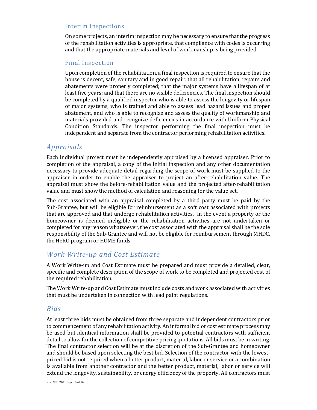#### Interim Inspections

On some projects, an interim inspection may be necessary to ensure that the progress of the rehabilitation activities is appropriate, that compliance with codes is occurring and that the appropriate materials and level of workmanship is being provided.

#### Final Inspection

Upon completion of the rehabilitation, a final inspection is required to ensure that the house is decent, safe, sanitary and in good repair; that all rehabilitation, repairs and abatements were properly completed; that the major systems have a lifespan of at least five years; and that there are no visible deficiencies. The final inspection should be completed by a qualified inspector who is able to assess the longevity or lifespan of major systems, who is trained and able to assess lead hazard issues and proper abatement, and who is able to recognize and assess the quality of workmanship and materials provided and recognize deficiencies in accordance with Uniform Physical Condition Standards. The inspector performing the final inspection must be independent and separate from the contractor performing rehabilitation activities.

## *Appraisals*

Each individual project must be independently appraised by a licensed appraiser. Prior to completion of the appraisal, a copy of the initial inspection and any other documentation necessary to provide adequate detail regarding the scope of work must be supplied to the appraiser in order to enable the appraiser to project an after-rehabilitation value. The appraisal must show the before-rehabilitation value and the projected after-rehabilitation value and must show the method of calculation and reasoning for the value set.

The cost associated with an appraisal completed by a third party must be paid by the Sub-Grantee, but will be eligible for reimbursement as a soft cost associated with projects that are approved and that undergo rehabilitation activities. In the event a property or the homeowner is deemed ineligible or the rehabilitation activities are not undertaken or completed for any reason whatsoever, the cost associated with the appraisal shall be the sole responsibility of the Sub-Grantee and will not be eligible for reimbursement through MHDC, the HeRO program or HOME funds.

## *Work Write-up and Cost Estimate*

A Work Write-up and Cost Estimate must be prepared and must provide a detailed, clear, specific and complete description of the scope of work to be completed and projected cost of the required rehabilitation.

The Work Write-up and Cost Estimate must include costs and work associated with activities that must be undertaken in connection with lead paint regulations.

## *Bids*

At least three bids must be obtained from three separate and independent contractors prior to commencement of any rehabilitation activity. An informal bid or cost estimate process may be used but identical information shall be provided to potential contractors with sufficient detail to allow for the collection of competitive pricing quotations. All bids must be in writing. The final contractor selection will be at the discretion of the Sub-Grantee and homeowner and should be based upon selecting the best bid. Selection of the contractor with the lowestpriced bid is not required when a better product, material, labor or service or a combination is available from another contractor and the better product, material, labor or service will extend the longevity, sustainability, or energy efficiency of the property. All contractors must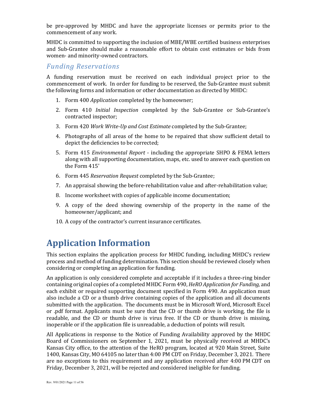be pre-approved by MHDC and have the appropriate licenses or permits prior to the commencement of any work.

MHDC is committed to supporting the inclusion of MBE/WBE certified business enterprises and Sub-Grantee should make a reasonable effort to obtain cost estimates or bids from women- and minority-owned contractors.

## *Funding Reservations*

A funding reservation must be received on each individual project prior to the commencement of work. In order for funding to be reserved, the Sub-Grantee must submit the following forms and information or other documentation as directed by MHDC:

- 1. Form 400 *Application* completed by the homeowner;
- 2. Form 410 *Initial Inspection* completed by the Sub-Grantee or Sub-Grantee's contracted inspector;
- 3. Form 420 *Work Write-Up and Cost Estimate* completed by the Sub-Grantee;
- 4. Photographs of all areas of the home to be repaired that show sufficient detail to depict the deficiencies to be corrected;
- 5. Form 415 *Environmental Report* including the appropriate SHPO & FEMA letters along with all supporting documentation, maps, etc. used to answer each question on the Form 415'
- 6. Form 445 *Reservation Request* completed by the Sub-Grantee;
- 7. An appraisal showing the before-rehabilitation value and after-rehabilitation value;
- 8. Income worksheet with copies of applicable income documentation;
- 9. A copy of the deed showing ownership of the property in the name of the homeowner/applicant; and
- 10. A copy of the contractor's current insurance certificates.

## **Application Information**

This section explains the application process for MHDC funding, including MHDC's review process and method of funding determination. This section should be reviewed closely when considering or completing an application for funding.

An application is only considered complete and acceptable if it includes a three-ring binder containing original copies of a completed MHDC Form 490, *HeRO Application for Funding,* and each exhibit or required supporting document specified in Form 490. An application must also include a CD or a thumb drive containing copies of the application and all documents submitted with the application. The documents must be in Microsoft Word, Microsoft Excel or .pdf format. Applicants must be sure that the CD or thumb drive is working, the file is readable, and the CD or thumb drive is virus free. If the CD or thumb drive is missing, inoperable or if the application file is unreadable, a deduction of points will result.

All Applications in response to the Notice of Funding Availability approved by the MHDC Board of Commissioners on September 1, 2021, must be physically received at MHDC's Kansas City office, to the attention of the HeRO program, located at 920 Main Street, Suite 1400, Kansas City, MO 64105 no later than 4:00 PM CDT on Friday, December 3, 2021. There are no exceptions to this requirement and any application received after 4:00 PM CDT on Friday, December 3, 2021, will be rejected and considered ineligible for funding.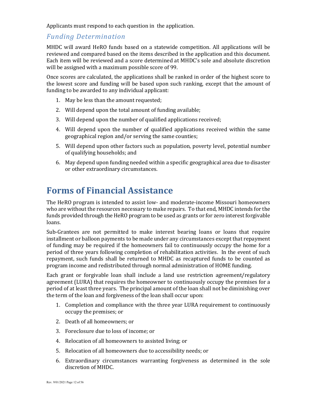Applicants must respond to each question in the application.

## *Funding Determination*

MHDC will award HeRO funds based on a statewide competition. All applications will be reviewed and compared based on the items described in the application and this document. Each item will be reviewed and a score determined at MHDC's sole and absolute discretion will be assigned with a maximum possible score of 99.

Once scores are calculated, the applications shall be ranked in order of the highest score to the lowest score and funding will be based upon such ranking, except that the amount of funding to be awarded to any individual applicant:

- 1. May be less than the amount requested;
- 2. Will depend upon the total amount of funding available;
- 3. Will depend upon the number of qualified applications received;
- 4. Will depend upon the number of qualified applications received within the same geographical region and/or serving the same counties;
- 5. Will depend upon other factors such as population, poverty level, potential number of qualifying households; and
- 6. May depend upon funding needed within a specific geographical area due to disaster or other extraordinary circumstances.

## **Forms of Financial Assistance**

The HeRO program is intended to assist low- and moderate-income Missouri homeowners who are without the resources necessary to make repairs. To that end, MHDC intends for the funds provided through the HeRO program to be used as grants or for zero interest forgivable loans.

Sub-Grantees are not permitted to make interest bearing loans or loans that require installment or balloon payments to be made under any circumstances except that repayment of funding may be required if the homeowners fail to continuously occupy the home for a period of three years following completion of rehabilitation activities. In the event of such repayment, such funds shall be returned to MHDC as recaptured funds to be counted as program income and redistributed through normal administration of HOME funding.

Each grant or forgivable loan shall include a land use restriction agreement/regulatory agreement (LURA) that requires the homeowner to continuously occupy the premises for a period of at least three years. The principal amount of the loan shall not be diminishing over the term of the loan and forgiveness of the loan shall occur upon:

- 1. Completion and compliance with the three year LURA requirement to continuously occupy the premises; or
- 2. Death of all homeowners; or
- 3. Foreclosure due to loss of income; or
- 4. Relocation of all homeowners to assisted living; or
- 5. Relocation of all homeowners due to accessibility needs; or
- 6. Extraordinary circumstances warranting forgiveness as determined in the sole discretion of MHDC.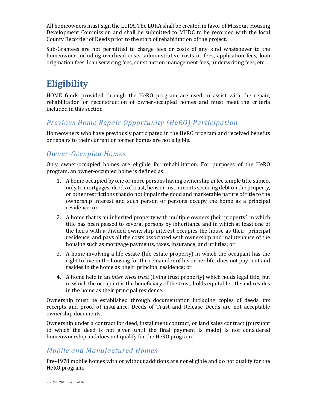All homeowners must sign the LURA. The LURA shall be created in favor of Missouri Housing Development Commission and shall be submitted to MHDC to be recorded with the local County Recorder of Deeds prior to the start of rehabilitation of the project.

Sub-Grantees are not permitted to charge fees or costs of any kind whatsoever to the homeowner including overhead costs, administrative costs or fees, application fees, loan origination fees, loan servicing fees, construction management fees, underwriting fees, etc.

## **Eligibility**

HOME funds provided through the HeRO program are used to assist with the repair, rehabilitation or reconstruction of owner-occupied homes and must meet the criteria included in this section.

## *Previous Home Repair Opportunity (HeRO) Participation*

Homeowners who have previously participated in the HeRO program and received benefits or repairs to their current or former homes are not eligible.

## *Owner-Occupied Homes*

Only owner-occupied homes are eligible for rehabilitation. For purposes of the HeRO program, an owner-occupied home is defined as:

- 1. A home occupied by one or more persons having ownership in fee simple title subject only to mortgages, deeds of trust, liens or instruments securing debt on the property, or other restrictions that do not impair the good and marketable nature of title to the ownership interest and such person or persons occupy the home as a principal residence; or
- 2. A home that is an inherited property with multiple owners (heir property) in which title has been passed to several persons by inheritance and in which at least one of the heirs with a divided ownership interest occupies the house as their principal residence, and pays all the costs associated with ownership and maintenance of the housing such as mortgage payments, taxes, insurance, and utilities; or
- 3. A home involving a life estate (life estate property) in which the occupant has the right to live in the housing for the remainder of his or her life, does not pay rent and resides in the home as their principal residence; or
- 4. A home held in an *inter vivos trust* (living trust property) which holds legal title, but in which the occupant is the beneficiary of the trust, holds equitable title and resides in the home as their principal residence.

Ownership must be established through documentation including copies of deeds, tax receipts and proof of insurance. Deeds of Trust and Release Deeds are not acceptable ownership documents.

Ownership under a contract for deed, installment contract, or land sales contract (pursuant to which the deed is not given until the final payment is made) is not considered homeownership and does not qualify for the HeRO program.

## *Mobile and Manufactured Homes*

Pre-1978 mobile homes with or without additions are not eligible and do not qualify for the HeRO program.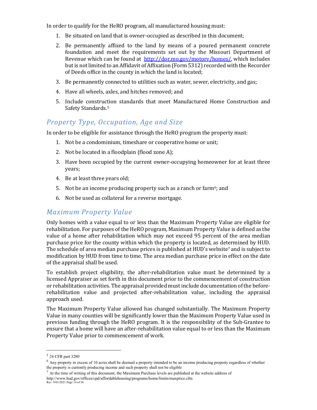In order to qualify for the HeRO program, all manufactured housing must:

- 1. Be situated on land that is owner-occupied as described in this document;
- 2. Be permanently affixed to the land by means of a poured permanent concrete foundation and meet the requirements set out by the Missouri Department of Revenue which can be found at http://dor.mo.gov/motory/homes/, which includes but is not limited to an Affidavit of Affixation (Form 5312) recorded with the Recorder of Deeds office in the county in which the land is located;
- 3. Be permanently connected to utilities such as water, sewer, electricity, and gas;
- 4. Have all wheels, axles, and hitches removed; and
- 5. Include construction standards that meet Manufactured Home Construction and Safety Standards. 5

## *Property Type, Occupation, Age and Size*

In order to be eligible for assistance through the HeRO program the property must:

- 1. Not be a condominium, timeshare or cooperative home or unit;
- 2. Not be located in a floodplain (flood zone A);
- 3. Have been occupied by the current owner-occupying homeowner for at least three years;
- 4. Be at least three years old;
- 5. Not be an income producing property such as a ranch or farm<sup>6</sup>; and
- 6. Not be used as collateral for a reverse mortgage.

## *Maximum Property Value*

Only homes with a value equal to or less than the Maximum Property Value are eligible for rehabilitation. For purposes of the HeRO program, Maximum Property Value is defined as the value of a home after rehabilitation which may not exceed 95 percent of the area median purchase price for the county within which the property is located, as determined by HUD. The schedule of area median purchase prices is published at HUD's website<sup>7</sup> and is subject to modification by HUD from time to time. The area median purchase price in effect on the date of the appraisal shall be used.

To establish project eligibility, the after-rehabilitation value must be determined by a licensed Appraiser as set forth in this document prior to the commencement of construction or rehabilitation activities. The appraisal provided must include documentation of the beforerehabilitation value and projected after-rehabilitation value, including the appraisal approach used.

The Maximum Property Value allowed has changed substantially. The Maximum Property Value in many counties will be significantly lower than the Maximum Property Value used in previous funding through the HeRO program. It is the responsibility of the Sub-Grantee to ensure that a home will have an after-rehabilitation value equal to or less than the Maximum Property Value prior to commencement of work.

 <sup>5</sup> 24 CFR part 3280

 $6$  Any property in excess of 10 acres shall be deemed a property intended to be an income producing property regardless of whether the property is currently producing income and such property shall not be eligible

<sup>7</sup> At the time of writing of this document, the Maximum Purchase levels are published at the website address of

Rev. 9/01/2021 Page 14 of 56 http://www.hud.gov/offices/cpd/affordablehousing/programs/home/limits/maxprice.cfm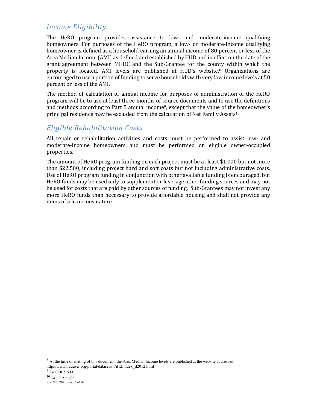## *Income Eligibility*

The HeRO program provides assistance to low- and moderate-income qualifying homeowners. For purposes of the HeRO program, a low- or moderate-income qualifying homeowner is defined as a household earning an annual income of 80 percent or less of the Area Median Income (AMI) as defined and established by HUD and in effect on the date of the grant agreement between MHDC and the Sub-Grantee for the county within which the property is located. AMI levels are published at HUD's website.8 Organizations are encouraged to use a portion of funding to serve households with very low income levels at 50 percent or less of the AMI.

The method of calculation of annual income for purposes of administration of the HeRO program will be to use at least three months of source documents and to use the definitions and methods according to Part 5 annual income<sup>9</sup>, except that the value of the homeowner's principal residence may be excluded from the calculation of Net Family Assets10.

## *Eligible Rehabilitation Costs*

All repair or rehabilitation activities and costs must be performed to assist low- and moderate-income homeowners and must be performed on eligible owner-occupied properties.

The amount of HeRO program funding on each project must be at least \$1,000 but not more than \$22,500, including project hard and soft costs but not including administrative costs. Use of HeRO program funding in conjunction with other available funding is encouraged, but HeRO funds may be used only to supplement or leverage other funding sources and may not be used for costs that are paid by other sources of funding. Sub-Grantees may not invest any more HeRO funds than necessary to provide affordable housing and shall not provide any items of a luxurious nature.

<sup>8</sup> At the time of writing of this document, the Area Median Income levels are published at the website address of http://www.huduser.org/portal/datasets/il/il12/index\_il2012.html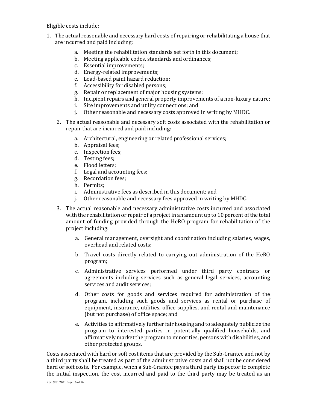Eligible costs include:

- 1. The actual reasonable and necessary hard costs of repairing or rehabilitating a house that are incurred and paid including:
	- a. Meeting the rehabilitation standards set forth in this document;
	- b. Meeting applicable codes, standards and ordinances;
	- c. Essential improvements;
	- d. Energy-related improvements;
	- e. Lead-based paint hazard reduction;
	- f. Accessibility for disabled persons;
	- g. Repair or replacement of major housing systems;
	- h. Incipient repairs and general property improvements of a non-luxury nature;
	- i. Site improvements and utility connections; and
	- j. Other reasonable and necessary costs approved in writing by MHDC.
	- 2. The actual reasonable and necessary soft costs associated with the rehabilitation or repair that are incurred and paid including:
		- a. Architectural, engineering or related professional services;
		- b. Appraisal fees;
		- c. Inspection fees;
		- d. Testing fees;
		- e. Flood letters;
		- f. Legal and accounting fees;
		- g. Recordation fees;
		- h. Permits;
		- i. Administrative fees as described in this document; and
		- j. Other reasonable and necessary fees approved in writing by MHDC.
	- 3. The actual reasonable and necessary administrative costs incurred and associated with the rehabilitation or repair of a project in an amount up to 10 percent of the total amount of funding provided through the HeRO program for rehabilitation of the project including:
		- a. General management, oversight and coordination including salaries, wages, overhead and related costs;
		- b. Travel costs directly related to carrying out administration of the HeRO program;
		- c. Administrative services performed under third party contracts or agreements including services such as general legal services, accounting services and audit services;
		- d. Other costs for goods and services required for administration of the program, including such goods and services as rental or purchase of equipment, insurance, utilities, office supplies, and rental and maintenance (but not purchase) of office space; and
		- e. Activities to affirmatively further fair housing and to adequately publicize the program to interested parties in potentially qualified households, and affirmatively market the program to minorities, persons with disabilities, and other protected groups.

Costs associated with hard or soft cost items that are provided by the Sub-Grantee and not by a third party shall be treated as part of the administrative costs and shall not be considered hard or soft costs. For example, when a Sub-Grantee pays a third party inspector to complete the initial inspection, the cost incurred and paid to the third party may be treated as an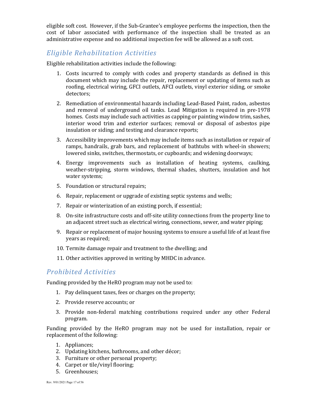eligible soft cost. However, if the Sub-Grantee's employee performs the inspection, then the cost of labor associated with performance of the inspection shall be treated as an administrative expense and no additional inspection fee will be allowed as a soft cost.

## *Eligible Rehabilitation Activities*

Eligible rehabilitation activities include the following:

- 1. Costs incurred to comply with codes and property standards as defined in this document which may include the repair, replacement or updating of items such as roofing, electrical wiring, GFCI outlets, AFCI outlets, vinyl exterior siding, or smoke detectors;
- 2. Remediation of environmental hazards including Lead-Based Paint, radon, asbestos and removal of underground oil tanks. Lead Mitigation is required in pre-1978 homes. Costs may include such activities as capping or painting window trim, sashes, interior wood trim and exterior surfaces; removal or disposal of asbestos pipe insulation or siding; and testing and clearance reports;
- 3. Accessibility improvements which may include items such as installation or repair of ramps, handrails, grab bars, and replacement of bathtubs with wheel-in showers; lowered sinks, switches, thermostats, or cupboards; and widening doorways;
- 4. Energy improvements such as installation of heating systems, caulking, weather-stripping, storm windows, thermal shades, shutters, insulation and hot water systems;
- 5. Foundation or structural repairs;
- 6. Repair, replacement or upgrade of existing septic systems and wells;
- 7. Repair or winterization of an existing porch, if essential;
- 8. On-site infrastructure costs and off-site utility connections from the property line to an adjacent street such as electrical wiring, connections, sewer, and water piping;
- 9. Repair or replacement of major housing systems to ensure a useful life of at least five years as required;
- 10. Termite damage repair and treatment to the dwelling; and
- 11. Other activities approved in writing by MHDC in advance.

## *Prohibited Activities*

Funding provided by the HeRO program may not be used to:

- 1. Pay delinquent taxes, fees or charges on the property;
- 2. Provide reserve accounts; or
- 3. Provide non-federal matching contributions required under any other Federal program.

Funding provided by the HeRO program may not be used for installation, repair or replacement of the following:

- 1. Appliances;
- 2. Updating kitchens, bathrooms, and other décor;
- 3. Furniture or other personal property;
- 4. Carpet or tile/vinyl flooring;
- 5. Greenhouses;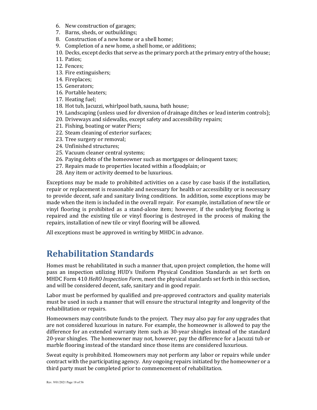- 6. New construction of garages;
- 7. Barns, sheds, or outbuildings;
- 8. Construction of a new home or a shell home;
- 9. Completion of a new home, a shell home, or additions;
- 10. Decks, except decks that serve as the primary porch at the primary entry of the house;
- 11. Patios;
- 12. Fences;
- 13. Fire extinguishers;
- 14. Fireplaces;
- 15. Generators;
- 16. Portable heaters;
- 17. Heating fuel;
- 18. Hot tub, Jacuzzi, whirlpool bath, sauna, bath house;
- 19. Landscaping (unless used for diversion of drainage ditches or lead interim controls);
- 20. Driveways and sidewalks, except safety and accessibility repairs;
- 21. Fishing, boating or water Piers;
- 22. Steam cleaning of exterior surfaces;
- 23. Tree surgery or removal;
- 24. Unfinished structures;
- 25. Vacuum cleaner central systems;
- 26. Paying debts of the homeowner such as mortgages or delinquent taxes;
- 27. Repairs made to properties located within a floodplain; or
- 28. Any item or activity deemed to be luxurious.

Exceptions may be made to prohibited activities on a case by case basis if the installation, repair or replacement is reasonable and necessary for health or accessibility or is necessary to provide decent, safe and sanitary living conditions. In addition, some exceptions may be made when the item is included in the overall repair. For example, installation of new tile or vinyl flooring is prohibited as a stand-alone item; however, if the underlying flooring is repaired and the existing tile or vinyl flooring is destroyed in the process of making the repairs, installation of new tile or vinyl flooring will be allowed.

All exceptions must be approved in writing by MHDC in advance.

## **Rehabilitation Standards**

Homes must be rehabilitated in such a manner that, upon project completion, the home will pass an inspection utilizing HUD's Uniform Physical Condition Standards as set forth on MHDC Form 410 *HeRO Inspection Form*, meet the physical standards set forth in this section, and will be considered decent, safe, sanitary and in good repair.

Labor must be performed by qualified and pre-approved contractors and quality materials must be used in such a manner that will ensure the structural integrity and longevity of the rehabilitation or repairs.

Homeowners may contribute funds to the project. They may also pay for any upgrades that are not considered luxurious in nature. For example, the homeowner is allowed to pay the difference for an extended warranty item such as 30-year shingles instead of the standard 20-year shingles. The homeowner may not, however, pay the difference for a Jacuzzi tub or marble flooring instead of the standard since those items are considered luxurious.

Sweat equity is prohibited. Homeowners may not perform any labor or repairs while under contract with the participating agency. Any ongoing repairs initiated by the homeowner or a third party must be completed prior to commencement of rehabilitation.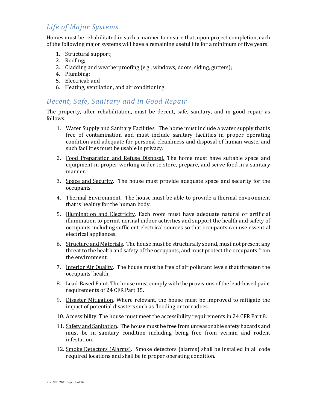## *Life of Major Systems*

Homes must be rehabilitated in such a manner to ensure that, upon project completion, each of the following major systems will have a remaining useful life for a minimum of five years:

- 1. Structural support;
- 2. Roofing;
- 3. Cladding and weatherproofing (e.g., windows, doors, siding, gutters);
- 4. Plumbing;
- 5. Electrical; and
- 6. Heating, ventilation, and air conditioning.

## *Decent, Safe, Sanitary and in Good Repair*

The property, after rehabilitation, must be decent, safe, sanitary, and in good repair as follows:

- 1. Water Supply and Sanitary Facilities. The home must include a water supply that is free of contamination and must include sanitary facilities in proper operating condition and adequate for personal cleanliness and disposal of human waste, and such facilities must be usable in privacy.
- 2. Food Preparation and Refuse Disposal. The home must have suitable space and equipment in proper working order to store, prepare, and serve food in a sanitary manner.
- 3. Space and Security. The house must provide adequate space and security for the occupants.
- 4. Thermal Environment. The house must be able to provide a thermal environment that is healthy for the human body.
- 5. Illumination and Electricity. Each room must have adequate natural or artificial illumination to permit normal indoor activities and support the health and safety of occupants including sufficient electrical sources so that occupants can use essential electrical appliances.
- 6. Structure and Materials. The house must be structurally sound, must not present any threat to the health and safety of the occupants, and must protect the occupants from the environment.
- 7. Interior Air Quality. The house must be free of air pollutant levels that threaten the occupants' health.
- 8. Lead-Based Paint. The house must comply with the provisions of the lead-based paint requirements of 24 CFR Part 35.
- 9. Disaster Mitigation. Where relevant, the house must be improved to mitigate the impact of potential disasters such as flooding or tornadoes.
- 10. Accessibility. The house must meet the accessibility requirements in 24 CFR Part 8.
- 11. Safety and Sanitation. The house must be free from unreasonable safety hazards and must be in sanitary condition including being free from vermin and rodent infestation.
- 12. Smoke Detectors (Alarms). Smoke detectors (alarms) shall be installed in all code required locations and shall be in proper operating condition.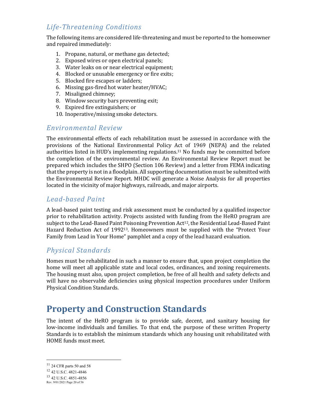## *Life-Threatening Conditions*

The following items are considered life-threatening and must be reported to the homeowner and repaired immediately:

- 1. Propane, natural, or methane gas detected;
- 2. Exposed wires or open electrical panels;
- 3. Water leaks on or near electrical equipment;
- 4. Blocked or unusable emergency or fire exits;
- 5. Blocked fire escapes or ladders;
- 6. Missing gas-fired hot water heater/HVAC;
- 7. Misaligned chimney;
- 8. Window security bars preventing exit;
- 9. Expired fire extinguishers; or
- 10. Inoperative/missing smoke detectors.

## *Environmental Review*

The environmental effects of each rehabilitation must be assessed in accordance with the provisions of the National Environmental Policy Act of 1969 (NEPA) and the related authorities listed in HUD's implementing regulations.11 No funds may be committed before the completion of the environmental review. An Environmental Review Report must be prepared which includes the SHPO (Section 106 Review) and a letter from FEMA indicating that the property is not in a floodplain. All supporting documentation must be submitted with the Environmental Review Report. MHDC will generate a Noise Analysis for all properties located in the vicinity of major highways, railroads, and major airports.

## *Lead-based Paint*

A lead-based paint testing and risk assessment must be conducted by a qualified inspector prior to rehabilitation activity. Projects assisted with funding from the HeRO program are subject to the Lead-Based Paint Poisoning Prevention Act<sup>12</sup>, the Residential Lead-Based Paint Hazard Reduction Act of 199213. Homeowners must be supplied with the "Protect Your Family from Lead in Your Home" pamphlet and a copy of the lead hazard evaluation.

## *Physical Standards*

Homes must be rehabilitated in such a manner to ensure that, upon project completion the home will meet all applicable state and local codes, ordinances, and zoning requirements. The housing must also, upon project completion, be free of all health and safety defects and will have no observable deficiencies using physical inspection procedures under Uniform Physical Condition Standards.

## **Property and Construction Standards**

The intent of the HeRO program is to provide safe, decent, and sanitary housing for low-income individuals and families. To that end, the purpose of these written Property Standards is to establish the minimum standards which any housing unit rehabilitated with HOME funds must meet.

 $11$  24 CFR parts 50 and 58

<sup>12</sup> 42 U.S.C. 4821-4846

<sup>13</sup> 42 U.S.C. 4851-4856

Rev. 9/01/2021 Page 20 of 56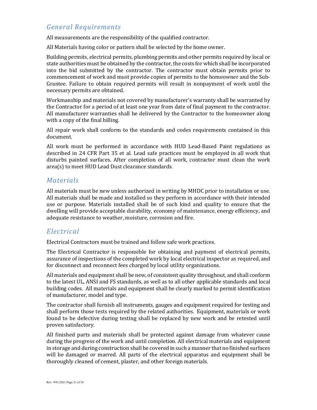## *General Requirements*

All measurements are the responsibility of the qualified contractor.

All Materials having color or pattern shall be selected by the home owner.

Building permits, electrical permits, plumbing permits and other permits required by local or state authorities must be obtained by the contractor, the costs for which shall be incorporated into the bid submitted by the contractor. The contractor must obtain permits prior to commencement of work and must provide copies of permits to the homeowner and the Sub-Grantee. Failure to obtain required permits will result in nonpayment of work until the necessary permits are obtained.

Workmanship and materials not covered by manufacturer's warranty shall be warranted by the Contractor for a period of at least one year from date of final payment to the contractor. All manufacturer warranties shall be delivered by the Contractor to the homeowner along with a copy of the final billing.

All repair work shall conform to the standards and codes requirements contained in this document.

All work must be performed in accordance with HUD Lead-Based Paint regulations as described in 24 CFR Part 35 et al. Lead safe practices must be employed in all work that disturbs painted surfaces. After completion of all work, contractor must clean the work area(s) to meet HUD Lead Dust clearance standards.

## *Materials*

All materials must be new unless authorized in writing by MHDC prior to installation or use. All materials shall be made and installed so they perform in accordance with their intended use or purpose. Materials installed shall be of such kind and quality to ensure that the dwelling will provide acceptable durability, economy of maintenance, energy efficiency, and adequate resistance to weather, moisture, corrosion and fire.

## *Electrical*

Electrical Contractors must be trained and follow safe work practices.

The Electrical Contractor is responsible for obtaining and payment of electrical permits, assurance of inspections of the completed work by local electrical inspector as required, and for disconnect and reconnect fees charged by local utility organizations.

All materials and equipment shall be new, of consistent quality throughout, and shall conform to the latest UL, ANSI and FS standards, as well as to all other applicable standards and local building codes. All materials and equipment shall be clearly marked to permit identification of manufacturer, model and type.

The contractor shall furnish all instruments, gauges and equipment required for testing and shall perform those tests required by the related authorities. Equipment, materials or work found to be defective during testing shall be replaced by new work and be retested until proven satisfactory.

All finished parts and materials shall be protected against damage from whatever cause during the progress of the work and until completion. All electrical materials and equipment in storage and during construction shall be covered in such a manner that no finished surfaces will be damaged or marred. All parts of the electrical apparatus and equipment shall be thoroughly cleaned of cement, plaster, and other foreign materials.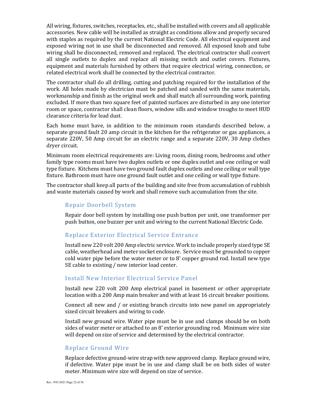All wiring, fixtures, switches, receptacles, etc., shall be installed with covers and all applicable accessories. New cable will be installed as straight as conditions allow and properly secured with staples as required by the current National Electric Code. All electrical equipment and exposed wiring not in use shall be disconnected and removed. All exposed knob and tube wiring shall be disconnected, removed and replaced. The electrical contractor shall convert all single outlets to duplex and replace all missing switch and outlet covers. Fixtures, equipment and materials furnished by others that require electrical wiring, connection, or related electrical work shall be connected by the electrical contractor.

The contractor shall do all drilling, cutting and patching required for the installation of the work. All holes made by electrician must be patched and sanded with the same materials, workmanship and finish as the original work and shall match all surrounding work, painting excluded. If more than two square feet of painted surfaces are disturbed in any one interior room or space, contractor shall clean floors, window sills and window troughs to meet HUD clearance criteria for lead dust.

Each home must have, in addition to the minimum room standards described below, a separate ground fault 20 amp circuit in the kitchen for the refrigerator or gas appliances, a separate 220V, 50 Amp circuit for an electric range and a separate 220V, 30 Amp clothes dryer circuit.

Minimum room electrical requirements are: Living room, dining room, bedrooms and other family type rooms must have two duplex outlets or one duplex outlet and one ceiling or wall type fixture. Kitchens must have two ground fault duplex outlets and one ceiling or wall type fixture. Bathroom must have one ground fault outlet and one ceiling or wall type fixture.

The contractor shall keep all parts of the building and site free from accumulation of rubbish and waste materials caused by work and shall remove such accumulation from the site.

#### Repair Doorbell System

Repair door bell system by installing one push button per unit, one transformer per push button, one buzzer per unit and wiring to the current National Electric Code.

## Replace Exterior Electrical Service Entrance

Install new 220 volt 200 Amp electric service. Work to include properly sized type SE cable, weatherhead and meter socket enclosure. Service must be grounded to copper cold water pipe before the water meter or to 8' copper ground rod. Install new type SE cable to existing / new interior load center.

#### Install New Interior Electrical Service Panel

Install new 220 volt 200 Amp electrical panel in basement or other appropriate location with a 200 Amp main breaker and with at least 16 circuit breaker positions.

Connect all new and / or existing branch circuits into new panel on appropriately sized circuit breakers and wiring to code.

Install new ground wire. Water pipe must be in use and clamps should be on both sides of water meter or attached to an 8' exterior grounding rod. Minimum wire size will depend on size of service and determined by the electrical contractor.

#### Replace Ground Wire

Replace defective ground-wire strap with new approved clamp. Replace ground wire, if defective. Water pipe must be in use and clamp shall be on both sides of water meter. Minimum wire size will depend on size of service.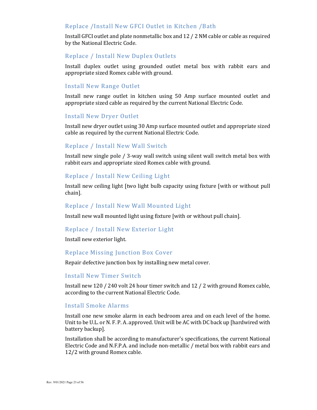#### Replace /Install New GFCI Outlet in Kitchen /Bath

Install GFCI outlet and plate nonmetallic box and 12 / 2 NM cable or cable as required by the National Electric Code.

#### Replace / Install New Duplex Outlets

Install duplex outlet using grounded outlet metal box with rabbit ears and appropriate sized Romex cable with ground.

#### Install New Range Outlet

Install new range outlet in kitchen using 50 Amp surface mounted outlet and appropriate sized cable as required by the current National Electric Code.

#### Install New Dryer Outlet

Install new dryer outlet using 30 Amp surface mounted outlet and appropriate sized cable as required by the current National Electric Code.

#### Replace / Install New Wall Switch

Install new single pole / 3-way wall switch using silent wall switch metal box with rabbit ears and appropriate sized Romex cable with ground.

#### Replace / Install New Ceiling Light

Install new ceiling light [two light bulb capacity using fixture [with or without pull chain].

#### Replace / Install New Wall Mounted Light

Install new wall mounted light using fixture [with or without pull chain].

#### Replace / Install New Exterior Light

Install new exterior light.

#### Replace Missing Junction Box Cover

Repair defective junction box by installing new metal cover.

#### Install New Timer Switch

Install new 120 / 240 volt 24 hour timer switch and 12 / 2 with ground Romex cable, according to the current National Electric Code.

#### Install Smoke Alarms

Install one new smoke alarm in each bedroom area and on each level of the home. Unit to be U.L. or N. F. P. A. approved. Unit will be AC with DC back up [hardwired with battery backup].

Installation shall be according to manufacturer's specifications, the current National Electric Code and N.F.P.A. and include non-metallic / metal box with rabbit ears and 12/2 with ground Romex cable.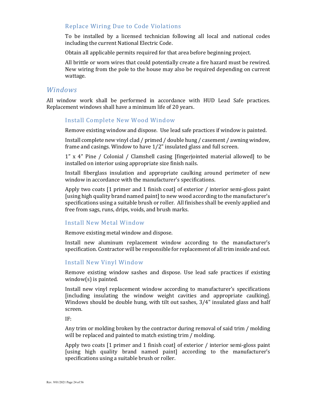#### Replace Wiring Due to Code Violations

To be installed by a licensed technician following all local and national codes including the current National Electric Code.

Obtain all applicable permits required for that area before beginning project.

All brittle or worn wires that could potentially create a fire hazard must be rewired. New wiring from the pole to the house may also be required depending on current wattage.

#### *Windows*

All window work shall be performed in accordance with HUD Lead Safe practices. Replacement windows shall have a minimum life of 20 years.

#### Install Complete New Wood Window

Remove existing window and dispose. Use lead safe practices if window is painted.

Install complete new vinyl clad / primed / double hung / casement / awning window, frame and casings. Window to have 1/2" insulated glass and full screen.

1" x 4" Pine / Colonial / Clamshell casing [fingerjointed material allowed] to be installed on interior using appropriate size finish nails.

Install fiberglass insulation and appropriate caulking around perimeter of new window in accordance with the manufacturer's specifications.

Apply two coats [1 primer and 1 finish coat] of exterior / interior semi-gloss paint [using high quality brand named paint] to new wood according to the manufacturer's specifications using a suitable brush or roller. All finishes shall be evenly applied and free from sags, runs, drips, voids, and brush marks.

#### Install New Metal Window

Remove existing metal window and dispose.

Install new aluminum replacement window according to the manufacturer's specification. Contractor will be responsible for replacement of all trim inside and out.

#### Install New Vinyl Window

Remove existing window sashes and dispose. Use lead safe practices if existing window(s) is painted.

Install new vinyl replacement window according to manufacturer's specifications [including insulating the window weight cavities and appropriate caulking]. Windows should be double hung, with tilt out sashes, 3/4" insulated glass and half screen.

IF:

Any trim or molding broken by the contractor during removal of said trim / molding will be replaced and painted to match existing trim / molding.

Apply two coats [1 primer and 1 finish coat] of exterior / interior semi-gloss paint [using high quality brand named paint] according to the manufacturer's specifications using a suitable brush or roller.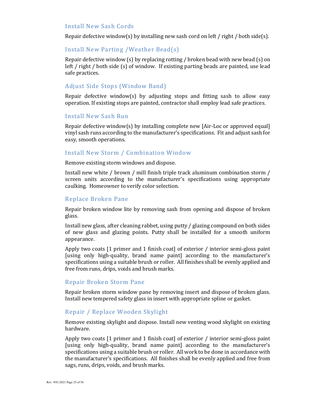#### Install New Sash Cords

Repair defective window(s) by installing new sash cord on left / right / both side(s).

#### Install New Parting /Weather Bead(s)

Repair defective window (s) by replacing rotting / broken bead with new bead (s) on left / right / both side (s) of window. If existing parting beads are painted, use lead safe practices.

#### Adjust Side Stops (Window Band)

Repair defective window(s) by adjusting stops and fitting sash to allow easy operation. If existing stops are painted, contractor shall employ lead safe practices.

#### Install New Sash Run

Repair defective window(s) by installing complete new [Air-Loc or approved equal] vinyl sash runs according to the manufacturer's specifications. Fit and adjust sash for easy, smooth operations.

#### Install New Storm / Combination Window

Remove existing storm windows and dispose.

Install new white / brown / mill finish triple track aluminum combination storm / screen units according to the manufacturer's specifications using appropriate caulking. Homeowner to verify color selection.

#### Replace Broken Pane

Repair broken window lite by removing sash from opening and dispose of broken glass.

Install new glass, after cleaning rabbet, using putty / glazing compound on both sides of new glass and glazing points. Putty shall be installed for a smooth uniform appearance.

Apply two coats [1 primer and 1 finish coat] of exterior / interior semi-gloss paint [using only high-quality, brand name paint] according to the manufacturer's specifications using a suitable brush or roller. All finishes shall be evenly applied and free from runs, drips, voids and brush marks.

#### Repair Broken Storm Pane

Repair broken storm window pane by removing insert and dispose of broken glass. Install new tempered safety glass in insert with appropriate spline or gasket.

#### Repair / Replace Wooden Skylight

Remove existing skylight and dispose. Install new venting wood skylight on existing hardware.

Apply two coats [1 primer and 1 finish coat] of exterior / interior semi-gloss paint [using only high-quality, brand name paint] according to the manufacturer's specifications using a suitable brush or roller. All work to be done in accordance with the manufacturer's specifications. All finishes shall be evenly applied and free from sags, runs, drips, voids, and brush marks.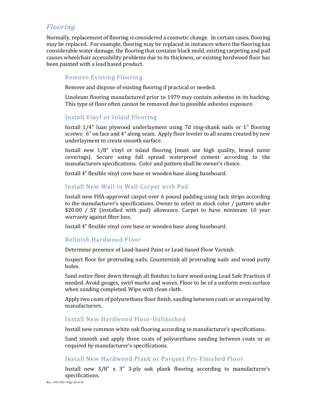## *Flooring*

Normally, replacement of flooring is considered a cosmetic change. In certain cases, flooring may be replaced. For example, flooring may be replaced in instances where the flooring has considerable water damage, the flooring that contains black mold, existing carpeting and pad causes wheelchair accessibility problems due to its thickness, or existing hardwood floor has been painted with a lead based product.

#### Remove Existing Flooring

Remove and dispose of existing flooring if practical or needed.

Linoleum flooring manufactured prior to 1979 may contain asbestos in its backing. This type of floor often cannot be removed due to possible asbestos exposure.

#### Install Vinyl or Inlaid Flooring

Install 1/4" luan plywood underlayment using 7d ring-shank nails or 1" flooring screws: 6" on face and 4" along seam. Apply floor leveler to all seams created by new underlayment to create smooth surface.

Install new 1/8" vinyl or inlaid flooring [must use high quality, brand name coverings]. Secure using full spread waterproof cement according to the manufacturers specifications. Color and pattern shall be owner's choice.

Install 4" flexible vinyl cove base or wooden base along baseboard.

#### Install New Wall to Wall Carpet with Pad

Install new FHA-approved carpet over 6 pound padding using tack strips according to the manufacturer's specifications. Owner to select in stock color / pattern under \$20.00 / SY (installed with pad) allowance. Carpet to have minimum 10 year warranty against fiber loss.

Install 4" flexible vinyl cove base or wooden base along baseboard.

#### Refinish Hardwood Floor

Determine presence of Lead-based Paint or Lead-based Floor Varnish.

Inspect floor for protruding nails. Countersink all protruding nails and wood putty holes.

Sand entire floor down through all finishes to bare wood using Lead Safe Practices if needed. Avoid gouges, swirl marks and waves. Floor to be of a uniform even surface when sanding completed. Wipe with clean cloth.

Apply two coats of polyurethane floor finish, sanding between coats or as required by manufacturers.

#### Install New Hardwood Floor-Unfinished

Install new common white oak flooring according to manufacturer's specifications.

Sand smooth and apply three coats of polyurethane sanding between coats or as required by manufacturer's specifications.

#### Install New Hardwood Plank or Parquet Pre-Finished Floor

Install new 3/8" x 3" 3-ply oak plank flooring according to manufacturer's specifications.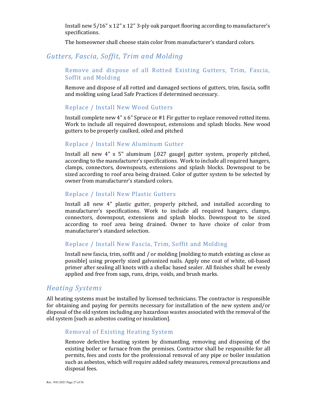Install new 5/16" x 12" x 12" 3-ply oak parquet flooring according to manufacturer's specifications.

The homeowner shall choose stain color from manufacturer's standard colors.

## *Gutters, Fascia, Soffit, Trim and Molding*

#### Remove and dispose of all Rotted Existing Gutters, Trim, Fascia, Soffit and Molding

Remove and dispose of all rotted and damaged sections of gutters, trim, fascia, soffit and molding using Lead Safe Practices if determined necessary.

#### Replace / Install New Wood Gutters

Install complete new 4" x 6" Spruce or #1 Fir gutter to replace removed rotted items. Work to include all required downspout, extensions and splash blocks. New wood gutters to be properly caulked, oiled and pitched

#### Replace / Install New Aluminum Gutter

Install all new 4" x 5" aluminum [.027 gauge] gutter system, properly pitched, according to the manufacturer's specifications. Work to include all required hangers, clamps, connectors, downspouts, extensions and splash blocks. Downspout to be sized according to roof area being drained. Color of gutter system to be selected by owner from manufacturer's standard colors.

#### Replace / Install New Plastic Gutters

Install all new 4" plastic gutter, properly pitched, and installed according to manufacturer's specifications. Work to include all required hangers, clamps, connectors, downspout, extensions and splash blocks. Downspout to be sized according to roof area being drained. Owner to have choice of color from manufacturer's standard selection.

#### Replace / Install New Fascia, Trim, Soffit and Molding

Install new fascia, trim, soffit and / or molding [molding to match existing as close as possible] using properly sized galvanized nails. Apply one coat of white, oil-based primer after sealing all knots with a shellac based sealer. All finishes shall be evenly applied and free from sags, runs, drips, voids, and brush marks.

## *Heating Systems*

All heating systems must be installed by licensed technicians. The contractor is responsible for obtaining and paying for permits necessary for installation of the new system and/or disposal of the old system including any hazardous wastes associated with the removal of the old system [such as asbestos coating or insulation].

#### Removal of Existing Heating System

Remove defective heating system by dismantling, removing and disposing of the existing boiler or furnace from the premises. Contractor shall be responsible for all permits, fees and costs for the professional removal of any pipe or boiler insulation such as asbestos, which will require added safety measures, removal precautions and disposal fees.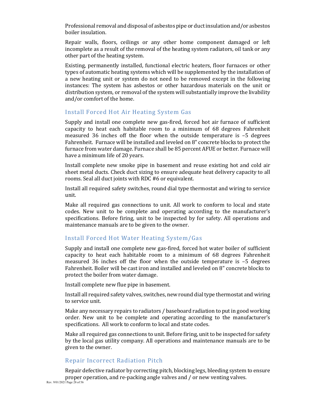Professional removal and disposal of asbestos pipe or duct insulation and/or asbestos boiler insulation.

Repair walls, floors, ceilings or any other home component damaged or left incomplete as a result of the removal of the heating system radiators, oil tank or any other part of the heating system.

Existing, permanently installed, functional electric heaters, floor furnaces or other types of automatic heating systems which will be supplemented by the installation of a new heating unit or system do not need to be removed except in the following instances: The system has asbestos or other hazardous materials on the unit or distribution system, or removal of the system will substantially improve the livability and/or comfort of the home.

#### Install Forced Hot Air Heating System Gas

Supply and install one complete new gas-fired, forced hot air furnace of sufficient capacity to heat each habitable room to a minimum of 68 degrees Fahrenheit measured 36 inches off the floor when the outside temperature is –5 degrees Fahrenheit. Furnace will be installed and leveled on 8" concrete blocks to protect the furnace from water damage. Furnace shall be 85 percent AFUE or better. Furnace will have a minimum life of 20 years.

Install complete new smoke pipe in basement and reuse existing hot and cold air sheet metal ducts. Check duct sizing to ensure adequate heat delivery capacity to all rooms. Seal all duct joints with RDC #6 or equivalent.

Install all required safety switches, round dial type thermostat and wiring to service unit.

Make all required gas connections to unit. All work to conform to local and state codes. New unit to be complete and operating according to the manufacturer's specifications. Before firing, unit to be inspected by for safety. All operations and maintenance manuals are to be given to the owner.

#### Install Forced Hot Water Heating System/Gas

Supply and install one complete new gas-fired, forced hot water boiler of sufficient capacity to heat each habitable room to a minimum of 68 degrees Fahrenheit measured 36 inches off the floor when the outside temperature is –5 degrees Fahrenheit. Boiler will be cast iron and installed and leveled on 8" concrete blocks to protect the boiler from water damage.

Install complete new flue pipe in basement.

Install all required safety valves, switches, new round dial type thermostat and wiring to service unit.

Make any necessary repairs to radiators / baseboard radiation to put in good working order. New unit to be complete and operating according to the manufacturer's specifications. All work to conform to local and state codes.

Make all required gas connections to unit. Before firing, unit to be inspected for safety by the local gas utility company. All operations and maintenance manuals are to be given to the owner.

#### Repair Incorrect Radiation Pitch

Rev. 9/01/2021 Page 28 of 56 Repair defective radiator by correcting pitch, blocking legs, bleeding system to ensure proper operation, and re-packing angle valves and / or new venting valves.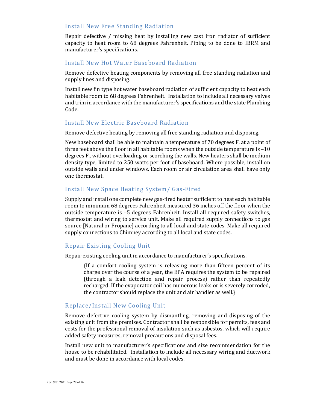#### Install New Free Standing Radiation

Repair defective / missing heat by installing new cast iron radiator of sufficient capacity to heat room to 68 degrees Fahrenheit. Piping to be done to IBRM and manufacturer's specifications.

#### Install New Hot Water Baseboard Radiation

Remove defective heating components by removing all free standing radiation and supply lines and disposing.

Install new fin type hot water baseboard radiation of sufficient capacity to heat each habitable room to 68 degrees Fahrenheit. Installation to include all necessary valves and trim in accordance with the manufacturer's specifications and the state Plumbing Code.

#### Install New Electric Baseboard Radiation

Remove defective heating by removing all free standing radiation and disposing.

New baseboard shall be able to maintain a temperature of 70 degrees F. at a point of three feet above the floor in all habitable rooms when the outside temperature is  $-10$ degrees F., without overloading or scorching the walls. New heaters shall be medium density type, limited to 250 watts per foot of baseboard. Where possible, install on outside walls and under windows. Each room or air circulation area shall have only one thermostat.

#### Install New Space Heating System/ Gas-Fired

Supply and install one complete new gas-fired heater sufficient to heat each habitable room to minimum 68 degrees Fahrenheit measured 36 inches off the floor when the outside temperature is –5 degrees Fahrenheit. Install all required safety switches, thermostat and wiring to service unit. Make all required supply connections to gas source [Natural or Propane] according to all local and state codes. Make all required supply connections to Chimney according to all local and state codes.

#### Repair Existing Cooling Unit

Repair existing cooling unit in accordance to manufacturer's specifications.

{If a comfort cooling system is releasing more than fifteen percent of its charge over the course of a year, the EPA requires the system to be repaired (through a leak detection and repair process) rather than repeatedly recharged. If the evaporator coil has numerous leaks or is severely corroded, the contractor should replace the unit and air handler as well.}

#### Replace/Install New Cooling Unit

Remove defective cooling system by dismantling, removing and disposing of the existing unit from the premises. Contractor shall be responsible for permits, fees and costs for the professional removal of insulation such as asbestos, which will require added safety measures, removal precautions and disposal fees.

Install new unit to manufacturer's specifications and size recommendation for the house to be rehabilitated. Installation to include all necessary wiring and ductwork and must be done in accordance with local codes.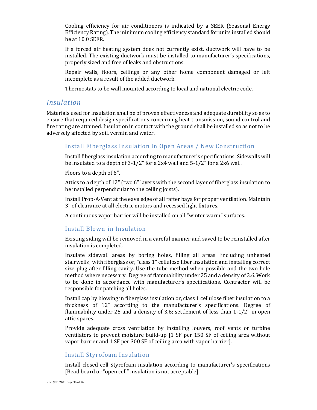Cooling efficiency for air conditioners is indicated by a SEER (Seasonal Energy Efficiency Rating). The minimum cooling efficiency standard for units installed should be at 10.0 SEER.

If a forced air heating system does not currently exist, ductwork will have to be installed. The existing ductwork must be installed to manufacturer's specifications, properly sized and free of leaks and obstructions.

Repair walls, floors, ceilings or any other home component damaged or left incomplete as a result of the added ductwork.

Thermostats to be wall mounted according to local and national electric code.

## *Insulation*

Materials used for insulation shall be of proven effectiveness and adequate durability so as to ensure that required design specifications concerning heat transmission, sound control and fire rating are attained. Insulation in contact with the ground shall be installed so as not to be adversely affected by soil, vermin and water.

## Install Fiberglass Insulation in Open Areas / New Construction

Install fiberglass insulation according to manufacturer's specifications. Sidewalls will be insulated to a depth of 3-1/2" for a 2x4 wall and 5-1/2" for a 2x6 wall.

Floors to a depth of 6".

Attics to a depth of 12" (two 6" layers with the second layer of fiberglass insulation to be installed perpendicular to the ceiling joists).

Install Prop-A-Vent at the eave edge of all rafter bays for proper ventilation. Maintain 3" of clearance at all electric motors and recessed light fixtures.

A continuous vapor barrier will be installed on all "winter warm" surfaces.

#### Install Blown-in Insulation

Existing siding will be removed in a careful manner and saved to be reinstalled after insulation is completed.

Insulate sidewall areas by boring holes, filling all areas [including unheated stairwells] with fiberglass or, "class 1" cellulose fiber insulation and installing correct size plug after filling cavity. Use the tube method when possible and the two hole method where necessary. Degree of flammability under 25 and a density of 3.6. Work to be done in accordance with manufacturer's specifications. Contractor will be responsible for patching all holes.

Install cap by blowing in fiberglass insulation or, class 1 cellulose fiber insulation to a thickness of 12" according to the manufacturer's specifications. Degree of flammability under 25 and a density of 3.6; settlement of less than 1-1/2" in open attic spaces.

Provide adequate cross ventilation by installing louvers, roof vents or turbine ventilators to prevent moisture build-up [1 SF per 150 SF of ceiling area without vapor barrier and 1 SF per 300 SF of ceiling area with vapor barrier].

#### Install Styrofoam Insulation

Install closed cell Styrofoam insulation according to manufacturer's specifications [Bead board or "open cell" insulation is not acceptable].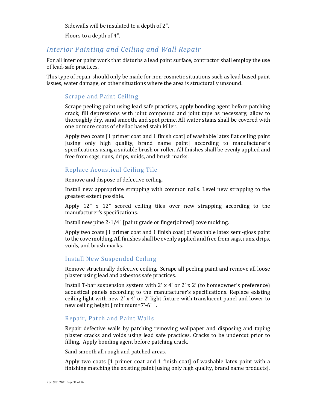Sidewalls will be insulated to a depth of 2".

Floors to a depth of 4".

## *Interior Painting and Ceiling and Wall Repair*

For all interior paint work that disturbs a lead paint surface, contractor shall employ the use of lead-safe practices.

This type of repair should only be made for non-cosmetic situations such as lead based paint issues, water damage, or other situations where the area is structurally unsound.

#### Scrape and Paint Ceiling

Scrape peeling paint using lead safe practices, apply bonding agent before patching crack, fill depressions with joint compound and joint tape as necessary, allow to thoroughly dry, sand smooth, and spot prime. All water stains shall be covered with one or more coats of shellac based stain killer.

Apply two coats [1 primer coat and 1 finish coat] of washable latex flat ceiling paint [using only high quality, brand name paint] according to manufacturer's specifications using a suitable brush or roller. All finishes shall be evenly applied and free from sags, runs, drips, voids, and brush marks.

#### Replace Acoustical Ceiling Tile

Remove and dispose of defective ceiling.

Install new appropriate strapping with common nails. Level new strapping to the greatest extent possible.

Apply 12" x 12" scored ceiling tiles over new strapping according to the manufacturer's specifications.

Install new pine 2-1/4" [paint grade or fingerjointed] cove molding.

Apply two coats [1 primer coat and 1 finish coat] of washable latex semi-gloss paint to the cove molding. All finishes shall be evenly applied and free from sags, runs, drips, voids, and brush marks.

#### Install New Suspended Ceiling

Remove structurally defective ceiling. Scrape all peeling paint and remove all loose plaster using lead and asbestos safe practices.

Install T-bar suspension system with  $2' \times 4'$  or  $2' \times 2'$  (to homeowner's preference) acoustical panels according to the manufacturer's specifications. Replace existing ceiling light with new 2' x 4' or 2' light fixture with translucent panel and lower to new ceiling height [ minimum=7'-6" ].

#### Repair, Patch and Paint Walls

Repair defective walls by patching removing wallpaper and disposing and taping plaster cracks and voids using lead safe practices. Cracks to be undercut prior to filling. Apply bonding agent before patching crack.

Sand smooth all rough and patched areas.

Apply two coats [1 primer coat and 1 finish coat] of washable latex paint with a finishing matching the existing paint [using only high quality, brand name products].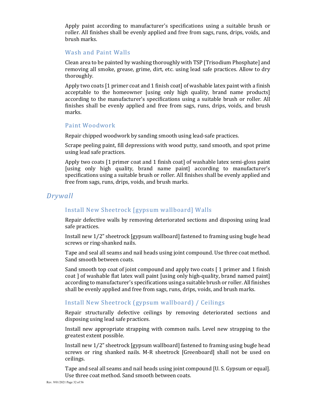Apply paint according to manufacturer's specifications using a suitable brush or roller. All finishes shall be evenly applied and free from sags, runs, drips, voids, and brush marks.

#### Wash and Paint Walls

Clean area to be painted by washing thoroughly with TSP [Trisodium Phosphate] and removing all smoke, grease, grime, dirt, etc. using lead safe practices. Allow to dry thoroughly.

Apply two coats [1 primer coat and 1 finish coat] of washable latex paint with a finish acceptable to the homeowner [using only high quality, brand name products] according to the manufacturer's specifications using a suitable brush or roller. All finishes shall be evenly applied and free from sags, runs, drips, voids, and brush marks.

#### Paint Woodwork

Repair chipped woodwork by sanding smooth using lead-safe practices.

Scrape peeling paint, fill depressions with wood putty, sand smooth, and spot prime using lead safe practices.

Apply two coats [1 primer coat and 1 finish coat] of washable latex semi-gloss paint [using only high quality, brand name paint] according to manufacturer's specifications using a suitable brush or roller. All finishes shall be evenly applied and free from sags, runs, drips, voids, and brush marks.

## *Drywall*

## Install New Sheetrock [gypsum wallboard] Walls

Repair defective walls by removing deteriorated sections and disposing using lead safe practices.

Install new 1/2" sheetrock [gypsum wallboard] fastened to framing using bugle head screws or ring-shanked nails.

Tape and seal all seams and nail heads using joint compound. Use three coat method. Sand smooth between coats.

Sand smooth top coat of joint compound and apply two coats [ 1 primer and 1 finish coat ] of washable flat latex wall paint [using only high-quality, brand named paint] according to manufacturer's specifications using a suitable brush or roller. All finishes shall be evenly applied and free from sags, runs, drips, voids, and brush marks.

## Install New Sheetrock (gypsum wallboard) / Ceilings

Repair structurally defective ceilings by removing deteriorated sections and disposing using lead safe practices.

Install new appropriate strapping with common nails. Level new strapping to the greatest extent possible.

Install new 1/2" sheetrock [gypsum wallboard] fastened to framing using bugle head screws or ring shanked nails. M-R sheetrock [Greenboard] shall not be used on ceilings.

Tape and seal all seams and nail heads using joint compound [U. S. Gypsum or equal]. Use three coat method. Sand smooth between coats.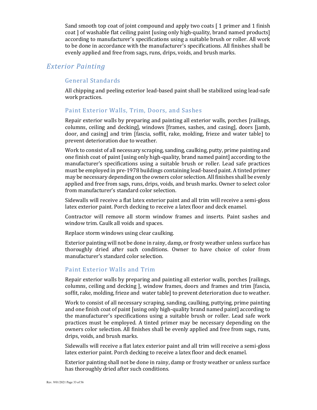Sand smooth top coat of joint compound and apply two coats [ 1 primer and 1 finish coat ] of washable flat ceiling paint [using only high-quality, brand named products] according to manufacturer's specifications using a suitable brush or roller. All work to be done in accordance with the manufacturer's specifications. All finishes shall be evenly applied and free from sags, runs, drips, voids, and brush marks.

## *Exterior Painting*

#### General Standards

All chipping and peeling exterior lead-based paint shall be stabilized using lead-safe work practices.

#### Paint Exterior Walls, Trim, Doors, and Sashes

Repair exterior walls by preparing and painting all exterior walls, porches [railings, columns, ceiling and decking], windows [frames, sashes, and casing], doors [jamb, door, and casing] and trim [fascia, soffit, rake, molding, frieze and water table] to prevent deterioration due to weather.

Work to consist of all necessary scraping, sanding, caulking, putty, prime painting and one finish coat of paint [using only high-quality, brand named paint] according to the manufacturer's specifications using a suitable brush or roller. Lead safe practices must be employed in pre-1978 buildings containing lead-based paint. A tinted primer may be necessary depending on the owners color selection. All finishes shall be evenly applied and free from sags, runs, drips, voids, and brush marks. Owner to select color from manufacturer's standard color selection.

Sidewalls will receive a flat latex exterior paint and all trim will receive a semi-gloss latex exterior paint. Porch decking to receive a latex floor and deck enamel.

Contractor will remove all storm window frames and inserts. Paint sashes and window trim. Caulk all voids and spaces.

Replace storm windows using clear caulking.

Exterior painting will not be done in rainy, damp, or frosty weather unless surface has thoroughly dried after such conditions. Owner to have choice of color from manufacturer's standard color selection.

#### Paint Exterior Walls and Trim

Repair exterior walls by preparing and painting all exterior walls, porches [railings, columns, ceiling and decking ], window frames, doors and frames and trim [fascia, soffit, rake, molding, frieze and water table] to prevent deterioration due to weather.

Work to consist of all necessary scraping, sanding, caulking, puttying, prime painting and one finish coat of paint [using only high-quality brand named paint] according to the manufacturer's specifications using a suitable brush or roller. Lead safe work practices must be employed. A tinted primer may be necessary depending on the owners color selection. All finishes shall be evenly applied and free from sags, runs, drips, voids, and brush marks.

Sidewalls will receive a flat latex exterior paint and all trim will receive a semi-gloss latex exterior paint. Porch decking to receive a latex floor and deck enamel.

Exterior painting shall not be done in rainy, damp or frosty weather or unless surface has thoroughly dried after such conditions.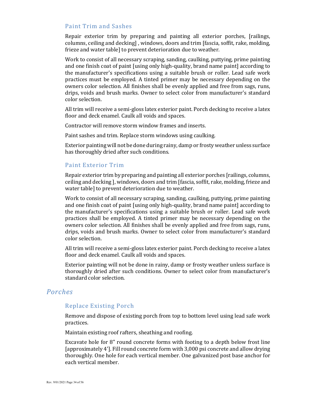#### Paint Trim and Sashes

Repair exterior trim by preparing and painting all exterior porches, [railings, columns, ceiling and decking] , windows, doors and trim [fascia, soffit, rake, molding, frieze and water table] to prevent deterioration due to weather.

Work to consist of all necessary scraping, sanding, caulking, puttying, prime painting and one finish coat of paint [using only high-quality, brand name paint] according to the manufacturer's specifications using a suitable brush or roller. Lead safe work practices must be employed. A tinted primer may be necessary depending on the owners color selection. All finishes shall be evenly applied and free from sags, runs, drips, voids and brush marks. Owner to select color from manufacturer's standard color selection.

All trim will receive a semi-gloss latex exterior paint. Porch decking to receive a latex floor and deck enamel. Caulk all voids and spaces.

Contractor will remove storm window frames and inserts.

Paint sashes and trim. Replace storm windows using caulking.

Exterior painting will not be done during rainy, damp or frosty weather unless surface has thoroughly dried after such conditions.

#### Paint Exterior Trim

Repair exterior trim by preparing and painting all exterior porches [railings, columns, ceiling and decking ], windows, doors and trim [fascia, soffit, rake, molding, frieze and water table] to prevent deterioration due to weather.

Work to consist of all necessary scraping, sanding, caulking, puttying, prime painting and one finish coat of paint [using only high-quality, brand name paint] according to the manufacturer's specifications using a suitable brush or roller. Lead safe work practices shall be employed. A tinted primer may be necessary depending on the owners color selection. All finishes shall be evenly applied and free from sags, runs, drips, voids and brush marks. Owner to select color from manufacturer's standard color selection.

All trim will receive a semi-gloss latex exterior paint. Porch decking to receive a latex floor and deck enamel. Caulk all voids and spaces.

Exterior painting will not be done in rainy, damp or frosty weather unless surface is thoroughly dried after such conditions. Owner to select color from manufacturer's standard color selection.

#### *Porches*

#### Replace Existing Porch

Remove and dispose of existing porch from top to bottom level using lead safe work practices.

Maintain existing roof rafters, sheathing and roofing.

Excavate hole for 8" round concrete forms with footing to a depth below frost line [approximately 4']. Fill round concrete form with 3,000 psi concrete and allow drying thoroughly. One hole for each vertical member. One galvanized post base anchor for each vertical member.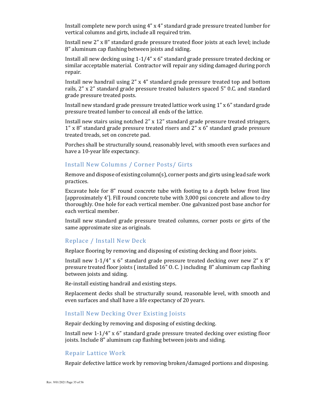Install complete new porch using 4" x 4" standard grade pressure treated lumber for vertical columns and girts, include all required trim.

Install new 2" x 8" standard grade pressure treated floor joists at each level; include 8" aluminum cap flashing between joists and siding.

Install all new decking using 1-1/4" x 6" standard grade pressure treated decking or similar acceptable material. Contractor will repair any siding damaged during porch repair.

Install new handrail using 2" x 4" standard grade pressure treated top and bottom rails, 2" x 2" standard grade pressure treated balusters spaced 5" 0.C. and standard grade pressure treated posts.

Install new standard grade pressure treated lattice work using 1" x 6" standard grade pressure treated lumber to conceal all ends of the lattice.

Install new stairs using notched 2" x 12" standard grade pressure treated stringers, 1" x 8" standard grade pressure treated risers and 2" x 6" standard grade pressure treated treads, set on concrete pad.

Porches shall be structurally sound, reasonably level, with smooth even surfaces and have a 10-year life expectancy.

#### Install New Columns / Corner Posts/ Girts

Remove and dispose of existing column(s), corner posts and girts using lead safe work practices.

Excavate hole for 8" round concrete tube with footing to a depth below frost line [approximately 4']. Fill round concrete tube with 3,000 psi concrete and allow to dry thoroughly. One hole for each vertical member. One galvanized post base anchor for each vertical member.

Install new standard grade pressure treated columns, corner posts or girts of the same approximate size as originals.

#### Replace / Install New Deck

Replace flooring by removing and disposing of existing decking and floor joists.

Install new 1-1/4"  $x$  6" standard grade pressure treated decking over new 2"  $x$  8" pressure treated floor joists ( installed 16" O. C. ) including 8" aluminum cap flashing between joists and siding.

Re-install existing handrail and existing steps.

Replacement decks shall be structurally sound, reasonable level, with smooth and even surfaces and shall have a life expectancy of 20 years.

#### Install New Decking Over Existing Joists

Repair decking by removing and disposing of existing decking.

Install new 1-1/4" x 6" standard grade pressure treated decking over existing floor joists. Include 8" aluminum cap flashing between joists and siding.

#### Repair Lattice Work

Repair defective lattice work by removing broken/damaged portions and disposing.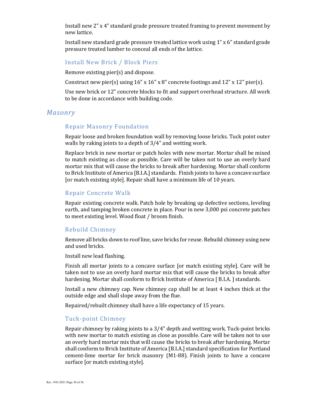Install new 2" x 4" standard grade pressure treated framing to prevent movement by new lattice.

Install new standard grade pressure treated lattice work using 1" x 6" standard grade pressure treated lumber to conceal all ends of the lattice.

#### Install New Brick / Block Piers

Remove existing pier(s) and dispose.

Construct new pier(s) using  $16'' \times 16'' \times 8''$  concrete footings and  $12'' \times 12''$  pier(s).

Use new brick or 12" concrete blocks to fit and support overhead structure. All work to be done in accordance with building code.

#### *Masonry*

#### Repair Masonry Foundation

Repair loose and broken foundation wall by removing loose bricks. Tuck point outer walls by raking joints to a depth of 3/4" and wetting work.

Replace brick in new mortar or patch holes with new mortar. Mortar shall be mixed to match existing as close as possible. Care will be taken not to use an overly hard mortar mix that will cause the bricks to break after hardening. Mortar shall conform to Brick Institute of America [B.I.A.] standards. Finish joints to have a concave surface [or match existing style]. Repair shall have a minimum life of 10 years.

#### Repair Concrete Walk

Repair existing concrete walk. Patch hole by breaking up defective sections, leveling earth, and tamping broken concrete in place. Pour in new 3,000 psi concrete patches to meet existing level. Wood float / broom finish.

#### Rebuild Chimney

Remove all bricks down to roof line, save bricks for reuse. Rebuild chimney using new and used bricks.

Install new lead flashing.

Finish all mortar joints to a concave surface [or match existing style]. Care will be taken not to use an overly hard mortar mix that will cause the bricks to break after hardening. Mortar shall conform to Brick Institute of America [B.I.A.] standards.

Install a new chimney cap. New chimney cap shall be at least 4 inches thick at the outside edge and shall slope away from the flue.

Repaired/rebuilt chimney shall have a life expectancy of 15 years.

#### Tuck-point Chimney

Repair chimney by raking joints to a 3/4" depth and wetting work. Tuck-point bricks with new mortar to match existing as close as possible. Care will be taken not to use an overly hard mortar mix that will cause the bricks to break after hardening. Mortar shall conform to Brick Institute of America [B.I.A.] standard specification for Portland cement-lime mortar for brick masonry (M1-88). Finish joints to have a concave surface [or match existing style].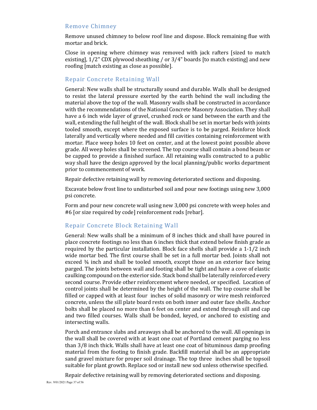#### Remove Chimney

Remove unused chimney to below roof line and dispose. Block remaining flue with mortar and brick.

Close in opening where chimney was removed with jack rafters [sized to match existing], 1/2" CDX plywood sheathing / or 3/4" boards [to match existing] and new roofing [match existing as close as possible].

#### Repair Concrete Retaining Wall

General: New walls shall be structurally sound and durable. Walls shall be designed to resist the lateral pressure exerted by the earth behind the wall including the material above the top of the wall. Masonry walls shall be constructed in accordance with the recommendations of the National Concrete Masonry Association. They shall have a 6 inch wide layer of gravel, crushed rock or sand between the earth and the wall, extending the full height of the wall. Block shall be set in mortar beds with joints tooled smooth, except where the exposed surface is to be parged. Reinforce block laterally and vertically where needed and fill cavities containing reinforcement with mortar. Place weep holes 10 feet on center, and at the lowest point possible above grade. All weep holes shall be screened. The top course shall contain a bond beam or be capped to provide a finished surface. All retaining walls constructed to a public way shall have the design approved by the local planning/public works department prior to commencement of work.

Repair defective retaining wall by removing deteriorated sections and disposing.

Excavate below frost line to undisturbed soil and pour new footings using new 3,000 psi concrete.

Form and pour new concrete wall using new 3,000 psi concrete with weep holes and #6 [or size required by code] reinforcement rods [rebar].

#### Repair Concrete Block Retaining Wall

General: New walls shall be a minimum of 8 inches thick and shall have poured in place concrete footings no less than 6 inches thick that extend below finish grade as required by the particular installation. Block face shells shall provide a 1-1/2 inch wide mortar bed. The first course shall be set in a full mortar bed. Joints shall not exceed ¾ inch and shall be tooled smooth, except those on an exterior face being parged. The joints between wall and footing shall be tight and have a cove of elastic caulking compound on the exterior side. Stack bond shall be laterally reinforced every second course. Provide other reinforcement where needed, or specified. Location of control joints shall be determined by the height of the wall. The top course shall be filled or capped with at least four inches of solid masonry or wire mesh reinforced concrete, unless the sill plate board rests on both inner and outer face shells. Anchor bolts shall be placed no more than 6 feet on center and extend through sill and cap and two filled courses. Walls shall be bonded, keyed, or anchored to existing and intersecting walls.

Porch and entrance slabs and areaways shall be anchored to the wall. All openings in the wall shall be covered with at least one coat of Portland cement parging no less than 3/8 inch thick. Walls shall have at least one coat of bituminous damp proofing material from the footing to finish grade. Backfill material shall be an appropriate sand gravel mixture for proper soil drainage. The top three inches shall be topsoil suitable for plant growth. Replace sod or install new sod unless otherwise specified.

Rev. 9/01/2021 Page 37 of 56 Repair defective retaining wall by removing deteriorated sections and disposing.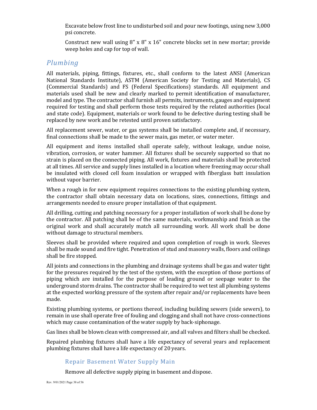Excavate below frost line to undisturbed soil and pour new footings, using new 3,000 psi concrete.

Construct new wall using  $8'' \times 8'' \times 16''$  concrete blocks set in new mortar; provide weep holes and cap for top of wall.

## *Plumbing*

All materials, piping, fittings, fixtures, etc., shall conform to the latest ANSI (American National Standards Institute), ASTM (American Society for Testing and Materials), CS (Commercial Standards) and FS (Federal Specifications) standards. All equipment and materials used shall be new and clearly marked to permit identification of manufacturer, model and type. The contractor shall furnish all permits, instruments, gauges and equipment required for testing and shall perform those tests required by the related authorities (local and state code). Equipment, materials or work found to be defective during testing shall be replaced by new work and be retested until proven satisfactory.

All replacement sewer, water, or gas systems shall be installed complete and, if necessary, final connections shall be made to the sewer main, gas meter, or water meter.

All equipment and items installed shall operate safely, without leakage, undue noise, vibration, corrosion, or water hammer. All fixtures shall be securely supported so that no strain is placed on the connected piping. All work, fixtures and materials shall be protected at all times. All service and supply lines installed in a location where freezing may occur shall be insulated with closed cell foam insulation or wrapped with fiberglass batt insulation without vapor barrier.

When a rough in for new equipment requires connections to the existing plumbing system, the contractor shall obtain necessary data on locations, sizes, connections, fittings and arrangements needed to ensure proper installation of that equipment.

All drilling, cutting and patching necessary for a proper installation of work shall be done by the contractor. All patching shall be of the same materials, workmanship and finish as the original work and shall accurately match all surrounding work. All work shall be done without damage to structural members.

Sleeves shall be provided where required and upon completion of rough in work. Sleeves shall be made sound and fire tight. Penetration of stud and masonry walls, floors and ceilings shall be fire stopped.

All joints and connections in the plumbing and drainage systems shall be gas and water tight for the pressures required by the test of the system, with the exception of those portions of piping which are installed for the purpose of leading ground or seepage water to the underground storm drains. The contractor shall be required to wet test all plumbing systems at the expected working pressure of the system after repair and/or replacements have been made.

Existing plumbing systems, or portions thereof, including building sewers (side sewers), to remain in use shall operate free of fouling and clogging and shall not have cross-connections which may cause contamination of the water supply by back-siphonage.

Gas lines shall be blown clean with compressed air, and all valves and filters shall be checked.

Repaired plumbing fixtures shall have a life expectancy of several years and replacement plumbing fixtures shall have a life expectancy of 20 years.

#### Repair Basement Water Supply Main

Remove all defective supply piping in basement and dispose.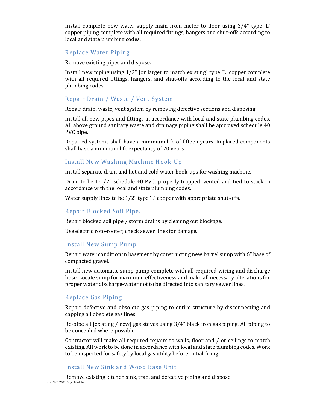Install complete new water supply main from meter to floor using 3/4" type 'L' copper piping complete with all required fittings, hangers and shut-offs according to local and state plumbing codes.

#### Replace Water Piping

Remove existing pipes and dispose.

Install new piping using 1/2" [or larger to match existing] type 'L' copper complete with all required fittings, hangers, and shut-offs according to the local and state plumbing codes.

#### Repair Drain / Waste / Vent System

Repair drain, waste, vent system by removing defective sections and disposing.

Install all new pipes and fittings in accordance with local and state plumbing codes. All above ground sanitary waste and drainage piping shall be approved schedule 40 PVC pipe.

Repaired systems shall have a minimum life of fifteen years. Replaced components shall have a minimum life expectancy of 20 years.

#### Install New Washing Machine Hook-Up

Install separate drain and hot and cold water hook-ups for washing machine.

Drain to be 1-1/2" schedule 40 PVC, properly trapped, vented and tied to stack in accordance with the local and state plumbing codes.

Water supply lines to be 1/2" type 'L' copper with appropriate shut-offs.

#### Repair Blocked Soil Pipe.

Repair blocked soil pipe / storm drains by cleaning out blockage.

Use electric roto-rooter; check sewer lines for damage.

#### Install New Sump Pump

Repair water condition in basement by constructing new barrel sump with 6" base of compacted gravel.

Install new automatic sump pump complete with all required wiring and discharge hose. Locate sump for maximum effectiveness and make all necessary alterations for proper water discharge-water not to be directed into sanitary sewer lines.

#### Replace Gas Piping

Repair defective and obsolete gas piping to entire structure by disconnecting and capping all obsolete gas lines.

Re-pipe all [existing / new] gas stoves using 3/4" black iron gas piping. All piping to be concealed where possible.

Contractor will make all required repairs to walls, floor and / or ceilings to match existing. All work to be done in accordance with local and state plumbing codes. Work to be inspected for safety by local gas utility before initial firing.

#### Install New Sink and Wood Base Unit

Rev. 9/01/2021 Page 39 of 56 Remove existing kitchen sink, trap, and defective piping and dispose.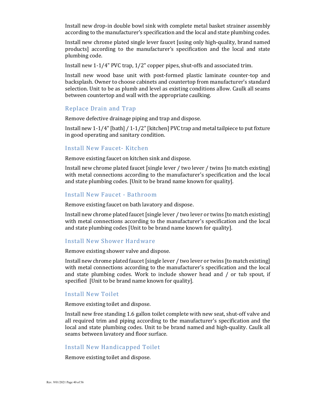Install new drop-in double bowl sink with complete metal basket strainer assembly according to the manufacturer's specification and the local and state plumbing codes.

Install new chrome plated single lever faucet [using only high-quality, brand named products] according to the manufacturer's specification and the local and state plumbing code.

Install new 1-1/4" PVC trap, 1/2" copper pipes, shut-offs and associated trim.

Install new wood base unit with post-formed plastic laminate counter-top and backsplash. Owner to choose cabinets and countertop from manufacturer's standard selection. Unit to be as plumb and level as existing conditions allow. Caulk all seams between countertop and wall with the appropriate caulking.

#### Replace Drain and Trap

Remove defective drainage piping and trap and dispose.

Install new 1-1/4" [bath] / 1-1/2" [kitchen] PVC trap and metal tailpiece to put fixture in good operating and sanitary condition.

#### Install New Faucet- Kitchen

Remove existing faucet on kitchen sink and dispose.

Install new chrome plated faucet [single lever / two lever / twins [to match existing] with metal connections according to the manufacturer's specification and the local and state plumbing codes. [Unit to be brand name known for quality].

#### Install New Faucet - Bathroom

Remove existing faucet on bath lavatory and dispose.

Install new chrome plated faucet [single lever / two lever or twins [to match existing] with metal connections according to the manufacturer's specification and the local and state plumbing codes [Unit to be brand name known for quality].

#### Install New Shower Hardware

Remove existing shower valve and dispose.

Install new chrome plated faucet [single lever / two lever or twins [to match existing] with metal connections according to the manufacturer's specification and the local and state plumbing codes. Work to include shower head and / or tub spout, if specified [Unit to be brand name known for quality].

#### Install New Toilet

Remove existing toilet and dispose.

Install new free standing 1.6 gallon toilet complete with new seat, shut-off valve and all required trim and piping according to the manufacturer's specification and the local and state plumbing codes. Unit to be brand named and high-quality. Caulk all seams between lavatory and floor surface.

#### Install New Handicapped Toilet

Remove existing toilet and dispose.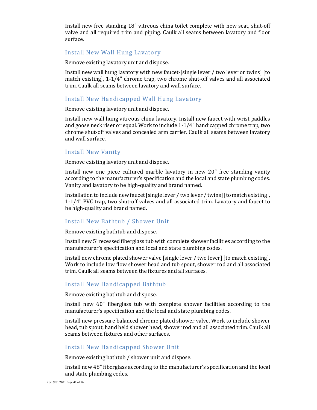Install new free standing 18" vitreous china toilet complete with new seat, shut-off valve and all required trim and piping. Caulk all seams between lavatory and floor surface.

#### Install New Wall Hung Lavatory

Remove existing lavatory unit and dispose.

Install new wall hung lavatory with new faucet-[single lever / two lever or twins] [to match existing], 1-1/4" chrome trap, two chrome shut-off valves and all associated trim. Caulk all seams between lavatory and wall surface.

#### Install New Handicapped Wall Hung Lavatory

Remove existing lavatory unit and dispose.

Install new wall hung vitreous china lavatory. Install new faucet with wrist paddles and goose neck riser or equal. Work to include 1-1/4" handicapped chrome trap, two chrome shut-off valves and concealed arm carrier. Caulk all seams between lavatory and wall surface.

#### Install New Vanity

Remove existing lavatory unit and dispose.

Install new one piece cultured marble lavatory in new 20" free standing vanity according to the manufacturer's specification and the local and state plumbing codes. Vanity and lavatory to be high-quality and brand named.

Installation to include new faucet [single lever / two lever / twins] [to match existing], 1-1/4" PVC trap, two shut-off valves and all associated trim. Lavatory and faucet to be high-quality and brand named.

#### Install New Bathtub / Shower Unit

Remove existing bathtub and dispose.

Install new 5' recessed fiberglass tub with complete shower facilities according to the manufacturer's specification and local and state plumbing codes.

Install new chrome plated shower valve [single lever / two lever] [to match existing]. Work to include low flow shower head and tub spout, shower rod and all associated trim. Caulk all seams between the fixtures and all surfaces.

#### Install New Handicapped Bathtub

Remove existing bathtub and dispose.

Install new 60" fiberglass tub with complete shower facilities according to the manufacturer's specification and the local and state plumbing codes.

Install new pressure balanced chrome plated shower valve. Work to include shower head, tub spout, hand held shower head, shower rod and all associated trim. Caulk all seams between fixtures and other surfaces.

#### Install New Handicapped Shower Unit

Remove existing bathtub / shower unit and dispose.

Install new 48" fiberglass according to the manufacturer's specification and the local and state plumbing codes.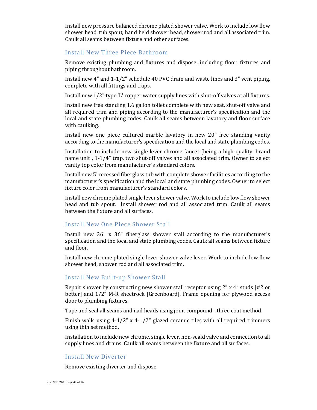Install new pressure balanced chrome plated shower valve. Work to include low flow shower head, tub spout, hand held shower head, shower rod and all associated trim. Caulk all seams between fixture and other surfaces.

#### Install New Three Piece Bathroom

Remove existing plumbing and fixtures and dispose, including floor, fixtures and piping throughout bathroom.

Install new 4" and 1-1/2" schedule 40 PVC drain and waste lines and 3" vent piping, complete with all fittings and traps.

Install new 1/2" type 'L' copper water supply lines with shut-off valves at all fixtures.

Install new free standing 1.6 gallon toilet complete with new seat, shut-off valve and all required trim and piping according to the manufacturer's specification and the local and state plumbing codes. Caulk all seams between lavatory and floor surface with caulking.

Install new one piece cultured marble lavatory in new 20" free standing vanity according to the manufacturer's specification and the local and state plumbing codes.

Installation to include new single lever chrome faucet [being a high-quality, brand name unit], 1-1/4" trap, two shut-off valves and all associated trim. Owner to select vanity top color from manufacturer's standard colors.

Install new 5' recessed fiberglass tub with complete shower facilities according to the manufacturer's specification and the local and state plumbing codes. Owner to select fixture color from manufacturer's standard colors.

Install new chrome plated single lever shower valve. Work to include low flow shower head and tub spout. Install shower rod and all associated trim. Caulk all seams between the fixture and all surfaces.

#### Install New One Piece Shower Stall

Install new 36" x 36" fiberglass shower stall according to the manufacturer's specification and the local and state plumbing codes. Caulk all seams between fixture and floor.

Install new chrome plated single lever shower valve lever. Work to include low flow shower head, shower rod and all associated trim.

#### Install New Built-up Shower Stall

Repair shower by constructing new shower stall receptor using 2" x 4" studs [#2 or better] and 1/2" M-R sheetrock [Greenboard]. Frame opening for plywood access door to plumbing fixtures.

Tape and seal all seams and nail heads using joint compound - three coat method.

Finish walls using  $4-1/2$ " x  $4-1/2$ " glazed ceramic tiles with all required trimmers using thin set method.

Installation to include new chrome, single lever, non-scald valve and connection to all supply lines and drains. Caulk all seams between the fixture and all surfaces.

#### Install New Diverter

Remove existing diverter and dispose.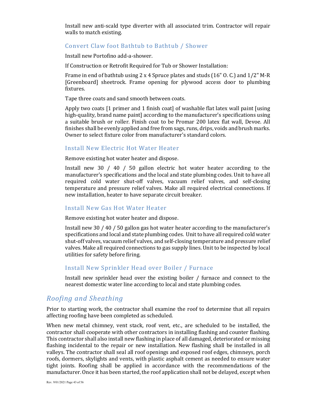Install new anti-scald type diverter with all associated trim. Contractor will repair walls to match existing.

#### Convert Claw foot Bathtub to Bathtub / Shower

Install new Portofino add-a-shower.

If Construction or Retrofit Required for Tub or Shower Installation:

Frame in end of bathtub using 2 x 4 Spruce plates and studs (16" O. C.) and 1/2" M-R [Greenboard] sheetrock. Frame opening for plywood access door to plumbing fixtures.

Tape three coats and sand smooth between coats.

Apply two coats [1 primer and 1 finish coat] of washable flat latex wall paint [using high-quality, brand name paint] according to the manufacturer's specifications using a suitable brush or roller. Finish coat to be Promar 200 latex flat wall, Devoe. All finishes shall be evenly applied and free from sags, runs, drips, voids and brush marks. Owner to select fixture color from manufacturer's standard colors.

#### Install New Electric Hot Water Heater

Remove existing hot water heater and dispose.

Install new 30 / 40 / 50 gallon electric hot water heater according to the manufacturer's specifications and the local and state plumbing codes. Unit to have all required cold water shut-off valves, vacuum relief valves, and self-closing temperature and pressure relief valves. Make all required electrical connections. If new installation, heater to have separate circuit breaker.

#### Install New Gas Hot Water Heater

Remove existing hot water heater and dispose.

Install new 30 / 40 / 50 gallon gas hot water heater according to the manufacturer's specifications and local and state plumbing codes. Unit to have all required cold water shut-off valves, vacuum relief valves, and self-closing temperature and pressure relief valves. Make all required connections to gas supply lines. Unit to be inspected by local utilities for safety before firing.

#### Install New Sprinkler Head over Boiler / Furnace

Install new sprinkler head over the existing boiler / furnace and connect to the nearest domestic water line according to local and state plumbing codes.

#### *Roofing and Sheathing*

Prior to starting work, the contractor shall examine the roof to determine that all repairs affecting roofing have been completed as scheduled.

When new metal chimney, vent stack, roof vent, etc., are scheduled to be installed, the contractor shall cooperate with other contractors in installing flashing and counter flashing. This contractor shall also install new flashing in place of all damaged, deteriorated or missing flashing incidental to the repair or new installation. New flashing shall be installed in all valleys. The contractor shall seal all roof openings and exposed roof edges, chimneys, porch roofs, dormers, skylights and vents, with plastic asphalt cement as needed to ensure water tight joints. Roofing shall be applied in accordance with the recommendations of the manufacturer. Once it has been started, the roof application shall not be delayed, except when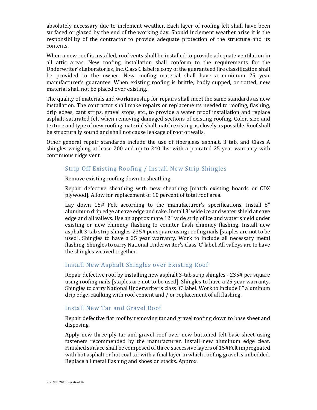absolutely necessary due to inclement weather. Each layer of roofing felt shall have been surfaced or glazed by the end of the working day. Should inclement weather arise it is the responsibility of the contractor to provide adequate protection of the structure and its contents.

When a new roof is installed, roof vents shall be installed to provide adequate ventilation in all attic areas. New roofing installation shall conform to the requirements for the Underwriter's Laboratories, Inc. Class C label; a copy of the guaranteed fire classification shall be provided to the owner. New roofing material shall have a minimum 25 year manufacturer's guarantee. When existing roofing is brittle, badly cupped, or rotted, new material shall not be placed over existing.

The quality of materials and workmanship for repairs shall meet the same standards as new installation. The contractor shall make repairs or replacements needed to roofing, flashing, drip edges, cant strips, gravel stops, etc., to provide a water proof installation and replace asphalt-saturated felt when removing damaged sections of existing roofing. Color, size and texture and type of new roofing material shall match existing as closely as possible. Roof shall be structurally sound and shall not cause leakage of roof or walls.

Other general repair standards include the use of fiberglass asphalt, 3 tab, and Class A shingles weighing at lease 200 and up to 240 lbs. with a prorated 25 year warranty with continuous ridge vent.

#### Strip Off Existing Roofing / Install New Strip Shingles

Remove existing roofing down to sheathing.

Repair defective sheathing with new sheathing [match existing boards or CDX plywood]. Allow for replacement of 10 percent of total roof area.

Lay down 15# Felt according to the manufacturer's specifications. Install 8" aluminum drip edge at eave edge and rake. Install 3' wide ice and water shield at eave edge and all valleys. Use an approximate 12" wide strip of ice and water shield under existing or new chimney flashing to counter flash chimney flashing. Install new asphalt 3-tab strip shingles-235# per square using roofing nails [staples are not to be used]. Shingles to have a 25 year warranty. Work to include all necessary metal flashing. Shingles to carry National Underwriter's class 'C' label. All valleys are to have the shingles weaved together.

#### Install New Asphalt Shingles over Existing Roof

Repair defective roof by installing new asphalt 3-tab strip shingles - 235# per square using roofing nails [staples are not to be used]. Shingles to have a 25 year warranty. Shingles to carry National Underwriter's class 'C' label. Work to include 8" aluminum drip edge, caulking with roof cement and / or replacement of all flashing.

#### Install New Tar and Gravel Roof

Repair defective flat roof by removing tar and gravel roofing down to base sheet and disposing.

Apply new three-ply tar and gravel roof over new buttoned felt base sheet using fasteners recommended by the manufacturer. Install new aluminum edge cleat. Finished surface shall be composed of three successive layers of 15#Felt impregnated with hot asphalt or hot coal tar with a final layer in which roofing gravel is imbedded. Replace all metal flashing and shoes on stacks. Approx.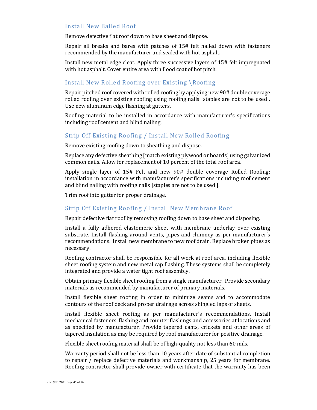#### Install New Balled Roof

Remove defective flat roof down to base sheet and dispose.

Repair all breaks and bares with patches of 15# felt nailed down with fasteners recommended by the manufacturer and sealed with hot asphalt.

Install new metal edge cleat. Apply three successive layers of 15# felt impregnated with hot asphalt. Cover entire area with flood coat of hot pitch.

## Install New Rolled Roofing over Existing \Roofing

Repair pitched roof covered with rolled roofing by applying new 90# double coverage rolled roofing over existing roofing using roofing nails [staples are not to be used]. Use new aluminum edge flashing at gutters.

Roofing material to be installed in accordance with manufacturer's specifications including roof cement and blind nailing.

#### Strip Off Existing Roofing / Install New Rolled Roofing

Remove existing roofing down to sheathing and dispose.

Replace any defective sheathing [match existing plywood or boards] using galvanized common nails. Allow for replacement of 10 percent of the total roof area.

Apply single layer of 15# Felt and new 90# double coverage Rolled Roofing; installation in accordance with manufacturer's specifications including roof cement and blind nailing with roofing nails [staples are not to be used ].

Trim roof into gutter for proper drainage.

#### Strip Off Existing Roofing / Install New Membrane Roof

Repair defective flat roof by removing roofing down to base sheet and disposing.

Install a fully adhered elastomeric sheet with membrane underlay over existing substrate. Install flashing around vents, pipes and chimney as per manufacturer's recommendations. Install new membrane to new roof drain. Replace broken pipes as necessary.

Roofing contractor shall be responsible for all work at roof area, including flexible sheet roofing system and new metal cap flashing. These systems shall be completely integrated and provide a water tight roof assembly.

Obtain primary flexible sheet roofing from a single manufacturer. Provide secondary materials as recommended by manufacturer of primary materials.

Install flexible sheet roofing in order to minimize seams and to accommodate contours of the roof deck and proper drainage across shingled laps of sheets.

Install flexible sheet roofing as per manufacturer's recommendations. Install mechanical fasteners, flashing and counter flashings and accessories at locations and as specified by manufacturer. Provide tapered cants, crickets and other areas of tapered insulation as may be required by roof manufacturer for positive drainage.

Flexible sheet roofing material shall be of high-quality not less than 60 mils.

Warranty period shall not be less than 10 years after date of substantial completion to repair / replace defective materials and workmanship, 25 years for membrane. Roofing contractor shall provide owner with certificate that the warranty has been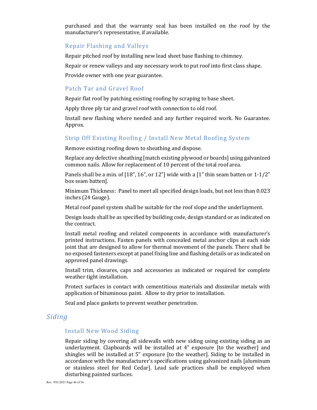purchased and that the warranty seal has been installed on the roof by the manufacturer's representative, if available.

#### Repair Flashing and Valleys

Repair pitched roof by installing new lead sheet base flashing to chimney.

Repair or renew valleys and any necessary work to put roof into first class shape.

Provide owner with one year guarantee.

#### Patch Tar and Gravel Roof

Repair flat roof by patching existing roofing by scraping to base sheet.

Apply three ply tar and gravel roof with connection to old roof.

Install new flashing where needed and any further required work. No Guarantee. Approx.

#### Strip Off Existing Roofing / Install New Metal Roofing System

Remove existing roofing down to sheathing and dispose.

Replace any defective sheathing [match existing plywood or boards] using galvanized common nails. Allow for replacement of 10 percent of the total roof area.

Panels shall be a min. of  $[18", 16",$  or  $12"$  wide with a  $[1"$  thin seam batten or  $1-1/2"$ box seam batten].

Minimum Thickness: Panel to meet all specified design loads, but not less than 0.023 inches (24 Gauge).

Metal roof panel system shall be suitable for the roof slope and the underlayment.

Design loads shall be as specified by building code, design standard or as indicated on the contract.

Install metal roofing and related components in accordance with manufacturer's printed instructions. Fasten panels with concealed metal anchor clips at each side joint that are designed to allow for thermal movement of the panels. There shall be no exposed fasteners except at panel fixing line and flashing details or as indicated on approved panel drawings.

Install trim, closures, caps and accessories as indicated or required for complete weather tight installation.

Protect surfaces in contact with cementitious materials and dissimilar metals with application of bituminous paint. Allow to dry prior to installation.

Seal and place gaskets to prevent weather penetration.

## *Siding*

#### Install New Wood Siding

Repair siding by covering all sidewalls with new siding using existing siding as an underlayment. Clapboards will be installed at 4" exposure [to the weather] and shingles will be installed at 5" exposure [to the weather]. Siding to be installed in accordance with the manufacturer's specifications using galvanized nails [aluminum or stainless steel for Red Cedar]. Lead safe practices shall be employed when disturbing painted surfaces.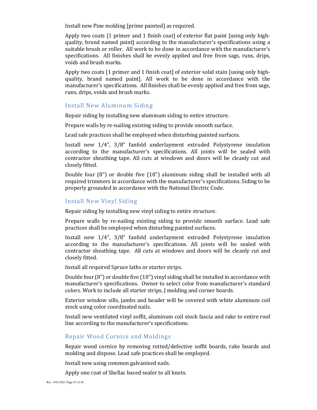Install new Pine molding [prime painted] as required.

Apply two coats [1 primer and 1 finish coat] of exterior flat paint [using only highquality, brand named paint] according to the manufacturer's specifications using a suitable brush or roller. All work to be done in accordance with the manufacturer's specifications. All finishes shall be evenly applied and free from sags, runs, drips, voids and brush marks.

Apply two coats [1 primer and 1 finish coat] of exterior solid stain [using only highquality, brand named paint]. All work to be done in accordance with the manufacturer's specifications. All finishes shall be evenly applied and free from sags, runs, drips, voids and brush marks.

#### Install New Aluminum Siding

Repair siding by installing new aluminum siding to entire structure.

Prepare walls by re-nailing existing siding to provide smooth surface.

Lead safe practices shall be employed when disturbing painted surfaces.

Install new 1/4", 3/8" fanfold underlayment extruded Polystyrene insulation according to the manufacturer's specifications. All joints will be sealed with contractor sheathing tape. All cuts at windows and doors will be cleanly cut and closely fitted.

Double four (8") or double five (10") aluminum siding shall be installed with all required trimmers in accordance with the manufacturer's specifications. Siding to be properly grounded in accordance with the National Electric Code.

#### Install New Vinyl Siding

Repair siding by installing new vinyl siding to entire structure.

Prepare walls by re-nailing existing siding to provide smooth surface. Lead safe practices shall be employed when disturbing painted surfaces.

Install new 1/4", 3/8" fanfold underlayment extruded Polystyrene insulation according to the manufacturer's specifications. All joints will be sealed with contractor sheathing tape. All cuts at windows and doors will be cleanly cut and closely fitted.

Install all required Spruce laths or starter strips.

Double four (8") or double five (10") vinyl siding shall be installed in accordance with manufacturer's specifications. Owner to select color from manufacturer's standard colors. Work to include all starter strips, J molding and corner boards.

Exterior window sills, jambs and header will be covered with white aluminum coil stock using color coordinated nails.

Install new ventilated vinyl soffit, aluminum coil stock fascia and rake to entire roof line according to the manufacturer's specifications.

#### Repair Wood Cornice and Moldings

Repair wood cornice by removing rotted/defective soffit boards, rake boards and molding and dispose. Lead safe practices shall be employed.

Install new using common galvanized nails.

Apply one coat of Shellac based sealer to all knots.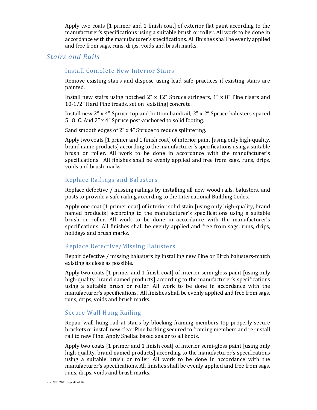Apply two coats [1 primer and 1 finish coat] of exterior flat paint according to the manufacturer's specifications using a suitable brush or roller. All work to be done in accordance with the manufacturer's specifications. All finishes shall be evenly applied and free from sags, runs, drips, voids and brush marks.

## *Stairs and Rails*

#### Install Complete New Interior Stairs

Remove existing stairs and dispose using lead safe practices if existing stairs are painted.

Install new stairs using notched 2"  $\times$  12" Spruce stringers, 1"  $\times$  8" Pine risers and 10-1/2" Hard Pine treads, set on [existing] concrete.

Install new 2" x 4" Spruce top and bottom handrail, 2" x 2" Spruce balusters spaced 5" O. C. And 2" x 4" Spruce post-anchored to solid footing.

Sand smooth edges of 2" x 4" Spruce to reduce splintering.

Apply two coats [1 primer and 1 finish coat] of interior paint [using only high-quality, brand name products] according to the manufacturer's specifications using a suitable brush or roller. All work to be done in accordance with the manufacturer's specifications. All finishes shall be evenly applied and free from sags, runs, drips, voids and brush marks.

#### Replace Railings and Balusters

Replace defective / missing railings by installing all new wood rails, balusters, and posts to provide a safe railing according to the International Building Codes.

Apply one coat [1 primer coat] of interior solid stain [using only high-quality, brand named products] according to the manufacturer's specifications using a suitable brush or roller. All work to be done in accordance with the manufacturer's specifications. All finishes shall be evenly applied and free from sags, runs, drips, holidays and brush marks.

#### Replace Defective/Missing Balusters

Repair defective / missing balusters by installing new Pine or Birch balusters-match existing as close as possible.

Apply two coats [1 primer and 1 finish coat] of interior semi-gloss paint [using only high-quality, brand named products] according to the manufacturer's specifications using a suitable brush or roller. All work to be done in accordance with the manufacturer's specifications. All finishes shall be evenly applied and free from sags, runs, drips, voids and brush marks.

#### Secure Wall Hung Railing

Repair wall hung rail at stairs by blocking framing members top properly secure brackets or install new clear Pine backing secured to framing members and re-install rail to new Pine. Apply Shellac based sealer to all knots.

Apply two coats [1 primer and 1 finish coat] of interior semi-gloss paint [using only high-quality, brand named products] according to the manufacturer's specifications using a suitable brush or roller. All work to be done in accordance with the manufacturer's specifications. All finishes shall be evenly applied and free from sags, runs, drips, voids and brush marks.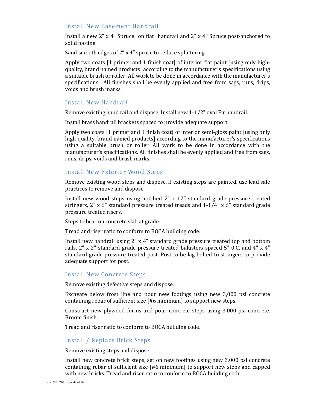#### Install New Basement Handrail

Install a new 2" x 4" Spruce [on flat] handrail and 2" x 4" Spruce post-anchored to solid footing.

Sand smooth edges of 2" x 4" spruce to reduce splintering.

Apply two coats [1 primer and 1 finish coat] of interior flat paint [using only highquality, brand named products] according to the manufacturer's specifications using a suitable brush or roller. All work to be done in accordance with the manufacturer's specifications. All finishes shall be evenly applied and free from sags, runs, drips, voids and brush marks.

#### Install New Handrail

Remove existing hand rail and dispose. Install new 1-1/2" oval Fir handrail.

Install brass handrail brackets spaced to provide adequate support.

Apply two coats [1 primer and 1 finish coat] of interior semi-gloss paint [using only high-quality, brand named products] according to the manufacturer's specifications using a suitable brush or roller. All work to be done in accordance with the manufacturer's specifications. All finishes shall be evenly applied and free from sags, runs, drips, voids and brush marks.

#### Install New Exterior Wood Steps

Remove existing wood steps and dispose. If existing steps are painted, use lead safe practices to remove and dispose.

Install new wood steps using notched 2" x 12" standard grade pressure treated stringers, 2" x 6" standard pressure treated treads and 1-1/4" x 6" standard grade pressure treated risers.

Steps to bear on concrete slab at grade.

Tread and riser ratio to conform to BOCA building code.

Install new handrail using 2" x 4" standard grade pressure treated top and bottom rails, 2" x 2" standard grade pressure treated balusters spaced 5" 0.C. and 4" x 4" standard grade pressure treated post. Post to be lag bolted to stringers to provide adequate support for post.

#### Install New Concrete Steps

Remove existing defective steps and dispose.

Excavate below frost line and pour new footings using new 3,000 psi concrete containing rebar of sufficient size [#6 minimum] to support new steps.

Construct new plywood forms and pour concrete steps using 3,000 psi concrete. Broom finish.

Tread and riser ratio to conform to BOCA building code.

#### Install / Replace Brick Steps

Remove existing steps and dispose.

Install new concrete brick steps, set on new footings using new 3,000 psi concrete containing rebar of sufficient size [#6 minimum] to support new steps and capped with new bricks. Tread and riser ratio to conform to BOCA building code.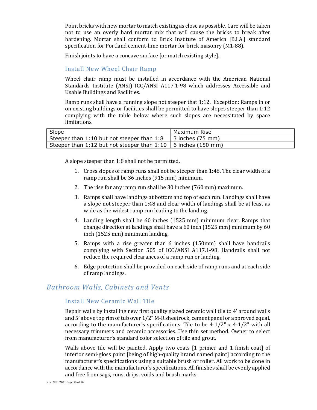Point bricks with new mortar to match existing as close as possible. Care will be taken not to use an overly hard mortar mix that will cause the bricks to break after hardening. Mortar shall conform to Brick Institute of America [B.I.A.] standard specification for Portland cement-lime mortar for brick masonry (M1-88).

Finish joints to have a concave surface [or match existing style].

#### Install New Wheel Chair Ramp

Wheel chair ramp must be installed in accordance with the American National Standards Institute (ANSI) ICC/ANSI A117.1-98 which addresses Accessible and Usable Buildings and Facilities.

Ramp runs shall have a running slope not steeper that 1:12. Exception: Ramps in or on existing buildings or facilities shall be permitted to have slopes steeper than 1:12 complying with the table below where such slopes are necessitated by space limitations.

| Slope                                                           | Maximum Rise       |
|-----------------------------------------------------------------|--------------------|
| Steeper than 1:10 but not steeper than 1:8                      | l 3 inches (75 mm) |
| Steeper than 1:12 but not steeper than 1:10   6 inches (150 mm) |                    |

A slope steeper than 1:8 shall not be permitted.

- 1. Cross slopes of ramp runs shall not be steeper than 1:48. The clear width of a ramp run shall be 36 inches (915 mm) minimum.
- 2. The rise for any ramp run shall be 30 inches (760 mm) maximum.
- 3. Ramps shall have landings at bottom and top of each run. Landings shall have a slope not steeper than 1:48 and clear width of landings shall be at least as wide as the widest ramp run leading to the landing.
- 4. Landing length shall be 60 inches (1525 mm) minimum clear. Ramps that change direction at landings shall have a 60 inch (1525 mm) minimum by 60 inch (1525 mm) minimum landing.
- 5. Ramps with a rise greater than 6 inches (150mm) shall have handrails complying with Section 505 of ICC/ANSI A117.1-98. Handrails shall not reduce the required clearances of a ramp run or landing.
- 6. Edge protection shall be provided on each side of ramp runs and at each side of ramp landings.

## *Bathroom Walls, Cabinets and Vents*

## Install New Ceramic Wall Tile

Repair walls by installing new first quality glazed ceramic wall tile to 4' around walls and 5' above top rim of tub over 1/2" M-R sheetrock, cement panel or approved equal, according to the manufacturer's specifications. Tile to be 4-1/2" x 4-1/2" with all necessary trimmers and ceramic accessories. Use thin set method. Owner to select from manufacturer's standard color selection of tile and grout.

Walls above tile will be painted. Apply two coats [1 primer and 1 finish coat] of interior semi-gloss paint [being of high-quality brand named paint] according to the manufacturer's specifications using a suitable brush or roller. All work to be done in accordance with the manufacturer's specifications. All finishes shall be evenly applied and free from sags, runs, drips, voids and brush marks.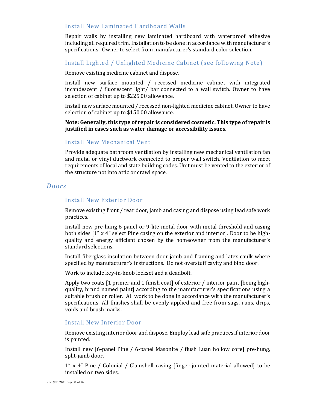#### Install New Laminated Hardboard Walls

Repair walls by installing new laminated hardboard with waterproof adhesive including all required trim. Installation to be done in accordance with manufacturer's specifications. Owner to select from manufacturer's standard color selection.

#### Install Lighted / Unlighted Medicine Cabinet (see following Note)

Remove existing medicine cabinet and dispose.

Install new surface mounted / recessed medicine cabinet with integrated incandescent / fluorescent light/ bar connected to a wall switch. Owner to have selection of cabinet up to \$225.00 allowance.

Install new surface mounted / recessed non-lighted medicine cabinet. Owner to have selection of cabinet up to \$150.00 allowance.

**Note: Generally, this type of repair is considered cosmetic. This type of repair is justified in cases such as water damage or accessibility issues.** 

#### Install New Mechanical Vent

Provide adequate bathroom ventilation by installing new mechanical ventilation fan and metal or vinyl ductwork connected to proper wall switch. Ventilation to meet requirements of local and state building codes. Unit must be vented to the exterior of the structure not into attic or crawl space.

#### *Doors*

#### Install New Exterior Door

Remove existing front / rear door, jamb and casing and dispose using lead safe work practices.

Install new pre-hung 6 panel or 9-lite metal door with metal threshold and casing both sides [1" x 4" select Pine casing on the exterior and interior]. Door to be highquality and energy efficient chosen by the homeowner from the manufacturer's standard selections.

Install fiberglass insulation between door jamb and framing and latex caulk where specified by manufacturer's instructions. Do not overstuff cavity and bind door.

Work to include key-in-knob lockset and a deadbolt.

Apply two coats [1 primer and 1 finish coat] of exterior / interior paint [being highquality, brand named paint] according to the manufacturer's specifications using a suitable brush or roller. All work to be done in accordance with the manufacturer's specifications. All finishes shall be evenly applied and free from sags, runs, drips, voids and brush marks.

#### Install New Interior Door

Remove existing interior door and dispose. Employ lead safe practices if interior door is painted.

Install new [6-panel Pine / 6-panel Masonite / flush Luan hollow core] pre-hung, split-jamb door.

1" x 4" Pine / Colonial / Clamshell casing [finger jointed material allowed] to be installed on two sides.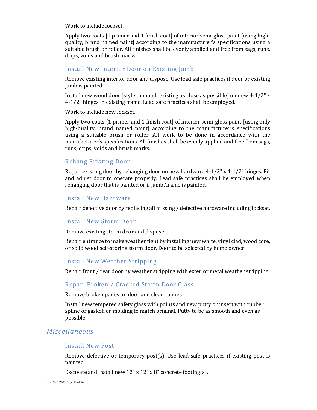Work to include lockset.

Apply two coats [1 primer and 1 finish coat] of interior semi-gloss paint [using highquality, brand named paint] according to the manufacturer's specifications using a suitable brush or roller. All finishes shall be evenly applied and free from sags, runs, drips, voids and brush marks.

#### Install New Interior Door on Existing Jamb

Remove existing interior door and dispose. Use lead safe practices if door or existing jamb is painted.

Install new wood door [style to match existing as close as possible] on new 4-1/2" x 4-1/2" hinges in existing frame. Lead safe practices shall be employed.

Work to include new lockset.

Apply two coats [1 primer and 1 finish coat] of interior semi-gloss paint [using only high-quality, brand named paint] according to the manufacturer's specifications using a suitable brush or roller. All work to be done in accordance with the manufacturer's specifications. All finishes shall be evenly applied and free from sags, runs, drips, voids and brush marks.

#### Rehang Existing Door

Repair existing door by rehanging door on new hardware  $4-1/2$ " x  $4-1/2$ " hinges. Fit and adjust door to operate properly. Lead safe practices shall be employed when rehanging door that is painted or if jamb/frame is painted.

#### Install New Hardware

Repair defective door by replacing all missing / defective hardware including lockset.

#### Install New Storm Door

Remove existing storm door and dispose.

Repair entrance to make weather tight by installing new white, vinyl clad, wood core, or solid wood self-storing storm door. Door to be selected by home owner.

#### Install New Weather Stripping

Repair front / rear door by weather stripping with exterior metal weather stripping.

#### Repair Broken / Cracked Storm Door Glass

Remove broken panes on door and clean rabbet.

Install new tempered safety glass with points and new putty or insert with rubber spline or gasket, or molding to match original. Putty to be as smooth and even as possible.

## *Miscellaneous*

#### Install New Post

Remove defective or temporary post(s). Use lead safe practices if existing post is painted.

Excavate and install new 12" x 12" x 8" concrete footing(s).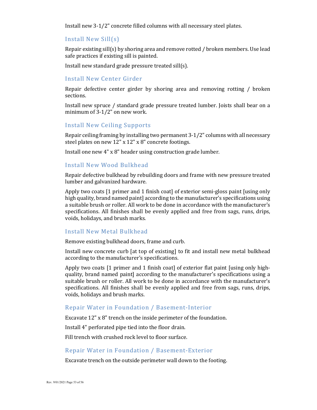Install new 3-1/2" concrete filled columns with all necessary steel plates.

#### Install New Sill(s)

Repair existing sill(s) by shoring area and remove rotted / broken members. Use lead safe practices if existing sill is painted.

Install new standard grade pressure treated sill(s).

#### Install New Center Girder

Repair defective center girder by shoring area and removing rotting / broken sections.

Install new spruce / standard grade pressure treated lumber. Joists shall bear on a minimum of 3-1/2" on new work.

#### Install New Ceiling Supports

Repair ceiling framing by installing two permanent 3-1/2" columns with all necessary steel plates on new 12" x 12" x 8" concrete footings.

Install one new 4" x 8" header using construction grade lumber.

#### Install New Wood Bulkhead

Repair defective bulkhead by rebuilding doors and frame with new pressure treated lumber and galvanized hardware.

Apply two coats [1 primer and 1 finish coat] of exterior semi-gloss paint [using only high quality, brand named paint] according to the manufacturer's specifications using a suitable brush or roller. All work to be done in accordance with the manufacturer's specifications. All finishes shall be evenly applied and free from sags, runs, drips, voids, holidays, and brush marks.

#### Install New Metal Bulkhead

Remove existing bulkhead doors, frame and curb.

Install new concrete curb [at top of existing] to fit and install new metal bulkhead according to the manufacturer's specifications.

Apply two coats [1 primer and 1 finish coat] of exterior flat paint [using only highquality, brand named paint] according to the manufacturer's specifications using a suitable brush or roller. All work to be done in accordance with the manufacturer's specifications. All finishes shall be evenly applied and free from sags, runs, drips, voids, holidays and brush marks.

#### Repair Water in Foundation / Basement-Interior

Excavate 12" x 8" trench on the inside perimeter of the foundation.

Install 4" perforated pipe tied into the floor drain.

Fill trench with crushed rock level to floor surface.

#### Repair Water in Foundation / Basement-Exterior

Excavate trench on the outside perimeter wall down to the footing.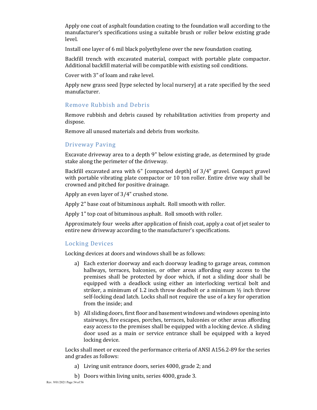Apply one coat of asphalt foundation coating to the foundation wall according to the manufacturer's specifications using a suitable brush or roller below existing grade level.

Install one layer of 6 mil black polyethylene over the new foundation coating.

Backfill trench with excavated material, compact with portable plate compactor. Additional backfill material will be compatible with existing soil conditions.

Cover with 3" of loam and rake level.

Apply new grass seed [type selected by local nursery] at a rate specified by the seed manufacturer.

#### Remove Rubbish and Debris

Remove rubbish and debris caused by rehabilitation activities from property and dispose.

Remove all unused materials and debris from worksite.

#### Driveway Paving

Excavate driveway area to a depth 9" below existing grade, as determined by grade stake along the perimeter of the driveway.

Backfill excavated area with 6" [compacted depth] of 3/4" gravel. Compact gravel with portable vibrating plate compactor or 10 ton roller. Entire drive way shall be crowned and pitched for positive drainage.

Apply an even layer of 3/4" crushed stone.

Apply 2" base coat of bituminous asphalt. Roll smooth with roller.

Apply 1" top coat of bituminous asphalt. Roll smooth with roller.

Approximately four weeks after application of finish coat, apply a coat of jet sealer to entire new driveway according to the manufacturer's specifications.

#### Locking Devices

Locking devices at doors and windows shall be as follows:

- a) Each exterior doorway and each doorway leading to garage areas, common hallways, terraces, balconies, or other areas affording easy access to the premises shall be protected by door which, if not a sliding door shall be equipped with a deadlock using either an interlocking vertical bolt and striker, a minimum of 1.2 inch throw deadbolt or a minimum ½ inch throw self-locking dead latch. Locks shall not require the use of a key for operation from the inside; and
- b) All sliding doors, first floor and basement windows and windows opening into stairways, fire escapes, porches, terraces, balconies or other areas affording easy access to the premises shall be equipped with a locking device. A sliding door used as a main or service entrance shall be equipped with a keyed locking device.

Locks shall meet or exceed the performance criteria of ANSI A156.2-89 for the series and grades as follows:

- a) Living unit entrance doors, series 4000, grade 2; and
- b) Doors within living units, series 4000, grade 3.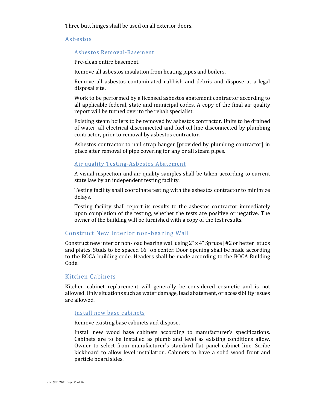Three butt hinges shall be used on all exterior doors.

#### Asbestos

#### Asbestos Removal-Basement

Pre-clean entire basement.

Remove all asbestos insulation from heating pipes and boilers.

Remove all asbestos contaminated rubbish and debris and dispose at a legal disposal site.

Work to be performed by a licensed asbestos abatement contractor according to all applicable federal, state and municipal codes. A copy of the final air quality report will be turned over to the rehab specialist.

Existing steam boilers to be removed by asbestos contractor. Units to be drained of water, all electrical disconnected and fuel oil line disconnected by plumbing contractor, prior to removal by asbestos contractor.

Asbestos contractor to nail strap hanger [provided by plumbing contractor] in place after removal of pipe covering for any or all steam pipes.

#### Air quality Testing-Asbestos Abatement

A visual inspection and air quality samples shall be taken according to current state law by an independent testing facility.

Testing facility shall coordinate testing with the asbestos contractor to minimize delays.

Testing facility shall report its results to the asbestos contractor immediately upon completion of the testing, whether the tests are positive or negative. The owner of the building will be furnished with a copy of the test results.

#### Construct New Interior non-bearing Wall

Construct new interior non-load bearing wall using 2" x 4" Spruce [#2 or better] studs and plates. Studs to be spaced 16" on center. Door opening shall be made according to the BOCA building code. Headers shall be made according to the BOCA Building Code.

#### Kitchen Cabinets

Kitchen cabinet replacement will generally be considered cosmetic and is not allowed. Only situations such as water damage, lead abatement, or accessibility issues are allowed.

#### Install new base cabinets

Remove existing base cabinets and dispose.

Install new wood base cabinets according to manufacturer's specifications. Cabinets are to be installed as plumb and level as existing conditions allow. Owner to select from manufacturer's standard flat panel cabinet line. Scribe kickboard to allow level installation. Cabinets to have a solid wood front and particle board sides.